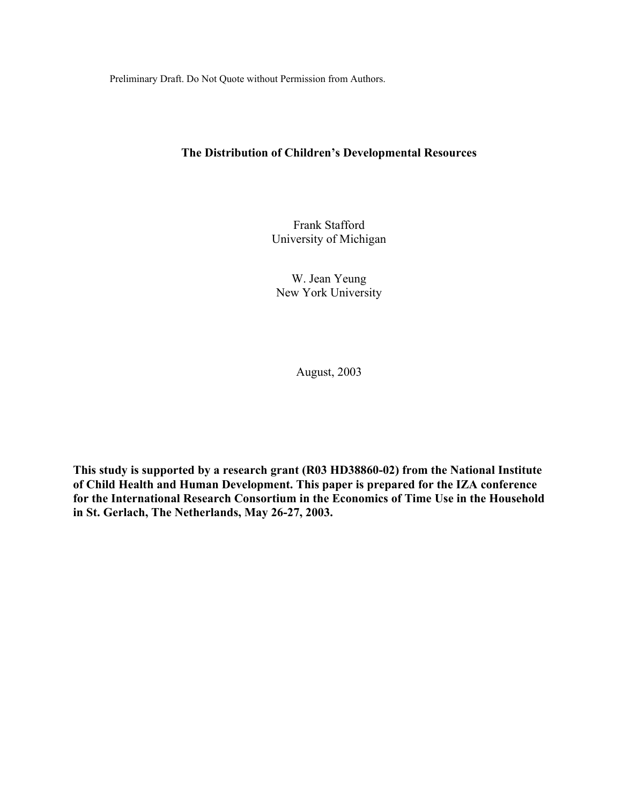Preliminary Draft. Do Not Quote without Permission from Authors.

## **The Distribution of Children's Developmental Resources**

Frank Stafford University of Michigan

W. Jean Yeung New York University

August, 2003

**This study is supported by a research grant (R03 HD38860-02) from the National Institute of Child Health and Human Development. This paper is prepared for the IZA conference for the International Research Consortium in the Economics of Time Use in the Household in St. Gerlach, The Netherlands, May 26-27, 2003.**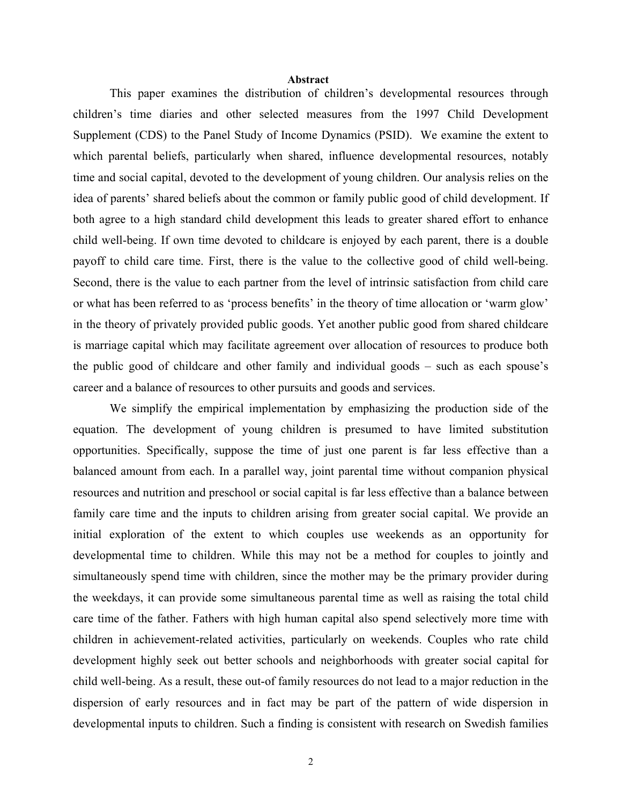#### **Abstract**

This paper examines the distribution of children's developmental resources through children's time diaries and other selected measures from the 1997 Child Development Supplement (CDS) to the Panel Study of Income Dynamics (PSID). We examine the extent to which parental beliefs, particularly when shared, influence developmental resources, notably time and social capital, devoted to the development of young children. Our analysis relies on the idea of parents' shared beliefs about the common or family public good of child development. If both agree to a high standard child development this leads to greater shared effort to enhance child well-being. If own time devoted to childcare is enjoyed by each parent, there is a double payoff to child care time. First, there is the value to the collective good of child well-being. Second, there is the value to each partner from the level of intrinsic satisfaction from child care or what has been referred to as 'process benefits' in the theory of time allocation or 'warm glow' in the theory of privately provided public goods. Yet another public good from shared childcare is marriage capital which may facilitate agreement over allocation of resources to produce both the public good of childcare and other family and individual goods – such as each spouse's career and a balance of resources to other pursuits and goods and services.

We simplify the empirical implementation by emphasizing the production side of the equation. The development of young children is presumed to have limited substitution opportunities. Specifically, suppose the time of just one parent is far less effective than a balanced amount from each. In a parallel way, joint parental time without companion physical resources and nutrition and preschool or social capital is far less effective than a balance between family care time and the inputs to children arising from greater social capital. We provide an initial exploration of the extent to which couples use weekends as an opportunity for developmental time to children. While this may not be a method for couples to jointly and simultaneously spend time with children, since the mother may be the primary provider during the weekdays, it can provide some simultaneous parental time as well as raising the total child care time of the father. Fathers with high human capital also spend selectively more time with children in achievement-related activities, particularly on weekends. Couples who rate child development highly seek out better schools and neighborhoods with greater social capital for child well-being. As a result, these out-of family resources do not lead to a major reduction in the dispersion of early resources and in fact may be part of the pattern of wide dispersion in developmental inputs to children. Such a finding is consistent with research on Swedish families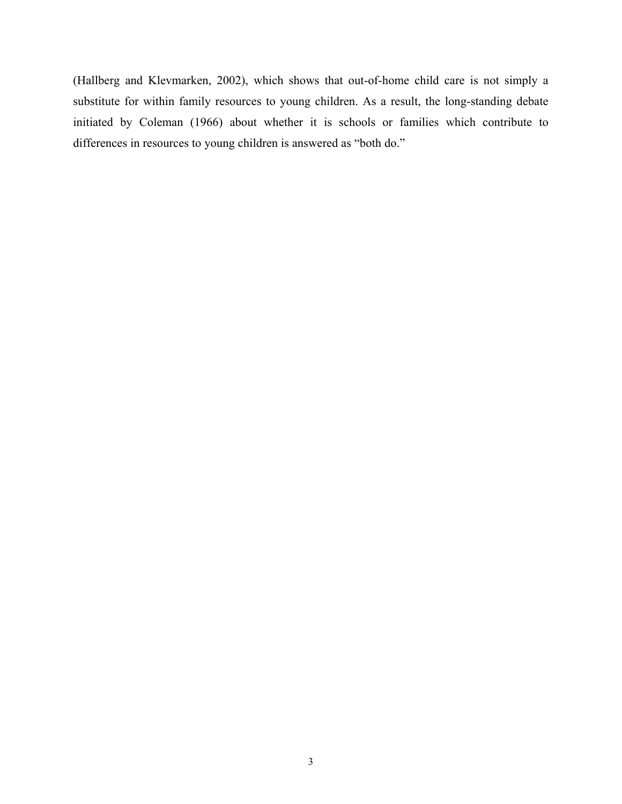(Hallberg and Klevmarken, 2002), which shows that out-of-home child care is not simply a substitute for within family resources to young children. As a result, the long-standing debate initiated by Coleman (1966) about whether it is schools or families which contribute to differences in resources to young children is answered as "both do."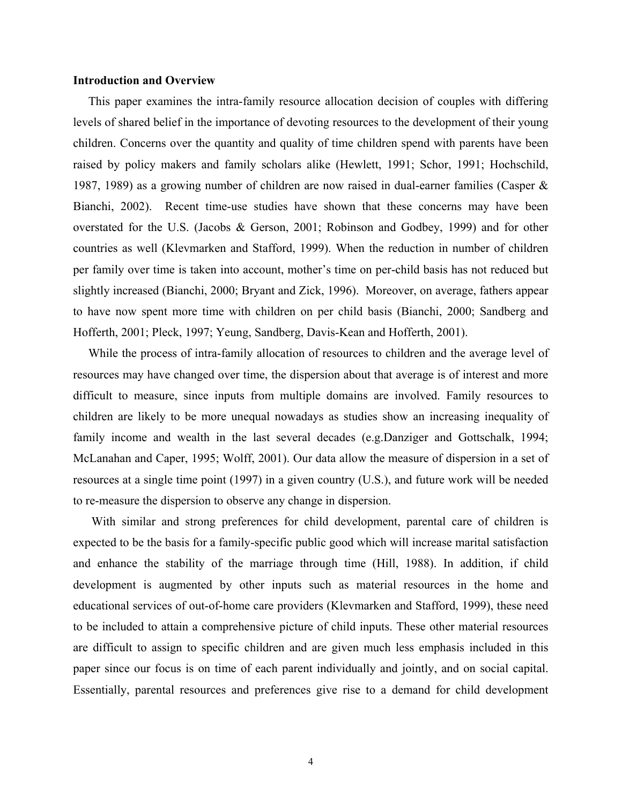#### **Introduction and Overview**

 This paper examines the intra-family resource allocation decision of couples with differing levels of shared belief in the importance of devoting resources to the development of their young children. Concerns over the quantity and quality of time children spend with parents have been raised by policy makers and family scholars alike (Hewlett, 1991; Schor, 1991; Hochschild, 1987, 1989) as a growing number of children are now raised in dual-earner families (Casper & Bianchi, 2002). Recent time-use studies have shown that these concerns may have been overstated for the U.S. (Jacobs & Gerson, 2001; Robinson and Godbey, 1999) and for other countries as well (Klevmarken and Stafford, 1999). When the reduction in number of children per family over time is taken into account, mother's time on per-child basis has not reduced but slightly increased (Bianchi, 2000; Bryant and Zick, 1996). Moreover, on average, fathers appear to have now spent more time with children on per child basis (Bianchi, 2000; Sandberg and Hofferth, 2001; Pleck, 1997; Yeung, Sandberg, Davis-Kean and Hofferth, 2001).

While the process of intra-family allocation of resources to children and the average level of resources may have changed over time, the dispersion about that average is of interest and more difficult to measure, since inputs from multiple domains are involved. Family resources to children are likely to be more unequal nowadays as studies show an increasing inequality of family income and wealth in the last several decades (e.g.Danziger and Gottschalk, 1994; McLanahan and Caper, 1995; Wolff, 2001). Our data allow the measure of dispersion in a set of resources at a single time point (1997) in a given country (U.S.), and future work will be needed to re-measure the dispersion to observe any change in dispersion.

 With similar and strong preferences for child development, parental care of children is expected to be the basis for a family-specific public good which will increase marital satisfaction and enhance the stability of the marriage through time (Hill, 1988). In addition, if child development is augmented by other inputs such as material resources in the home and educational services of out-of-home care providers (Klevmarken and Stafford, 1999), these need to be included to attain a comprehensive picture of child inputs. These other material resources are difficult to assign to specific children and are given much less emphasis included in this paper since our focus is on time of each parent individually and jointly, and on social capital. Essentially, parental resources and preferences give rise to a demand for child development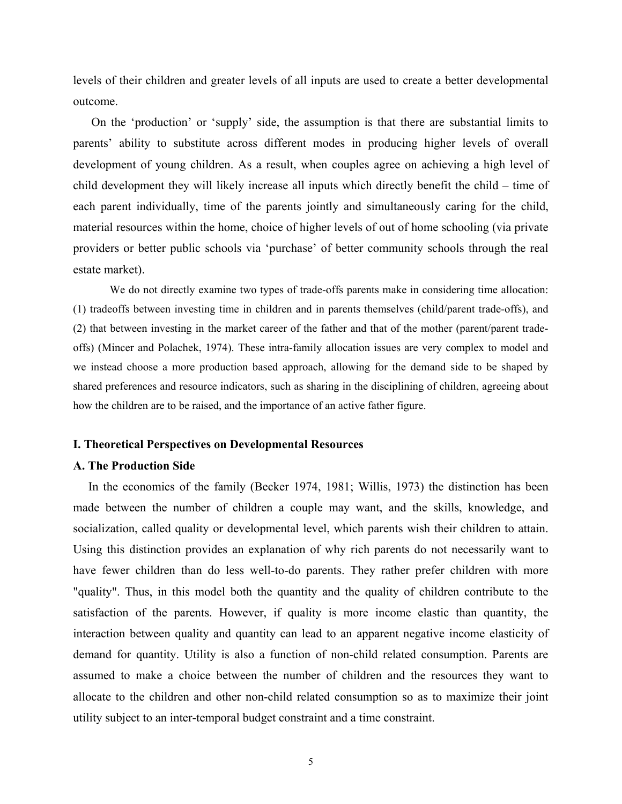levels of their children and greater levels of all inputs are used to create a better developmental outcome.

 On the 'production' or 'supply' side, the assumption is that there are substantial limits to parents' ability to substitute across different modes in producing higher levels of overall development of young children. As a result, when couples agree on achieving a high level of child development they will likely increase all inputs which directly benefit the child – time of each parent individually, time of the parents jointly and simultaneously caring for the child, material resources within the home, choice of higher levels of out of home schooling (via private providers or better public schools via 'purchase' of better community schools through the real estate market).

We do not directly examine two types of trade-offs parents make in considering time allocation: (1) tradeoffs between investing time in children and in parents themselves (child/parent trade-offs), and (2) that between investing in the market career of the father and that of the mother (parent/parent tradeoffs) (Mincer and Polachek, 1974). These intra-family allocation issues are very complex to model and we instead choose a more production based approach, allowing for the demand side to be shaped by shared preferences and resource indicators, such as sharing in the disciplining of children, agreeing about how the children are to be raised, and the importance of an active father figure.

#### **I. Theoretical Perspectives on Developmental Resources**

#### **A. The Production Side**

In the economics of the family (Becker 1974, 1981; Willis, 1973) the distinction has been made between the number of children a couple may want, and the skills, knowledge, and socialization, called quality or developmental level, which parents wish their children to attain. Using this distinction provides an explanation of why rich parents do not necessarily want to have fewer children than do less well-to-do parents. They rather prefer children with more "quality". Thus, in this model both the quantity and the quality of children contribute to the satisfaction of the parents. However, if quality is more income elastic than quantity, the interaction between quality and quantity can lead to an apparent negative income elasticity of demand for quantity. Utility is also a function of non-child related consumption. Parents are assumed to make a choice between the number of children and the resources they want to allocate to the children and other non-child related consumption so as to maximize their joint utility subject to an inter-temporal budget constraint and a time constraint.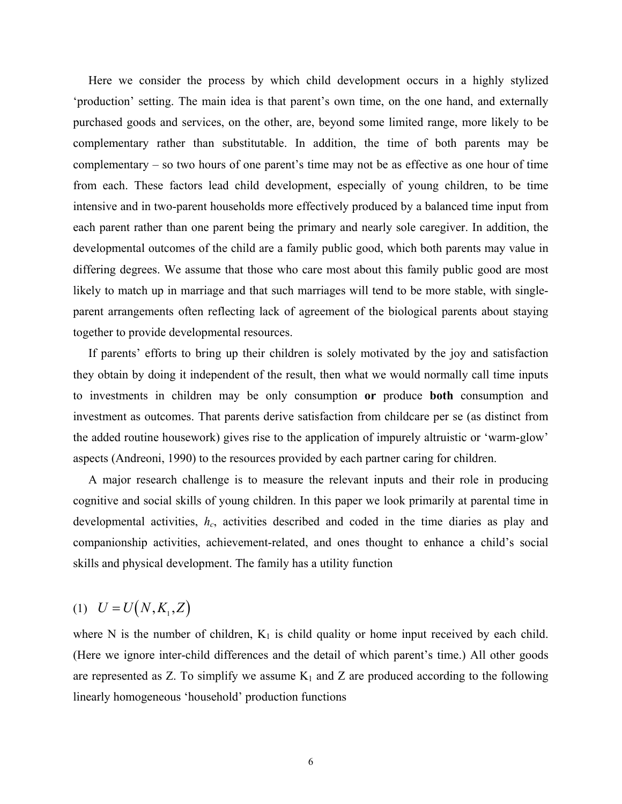Here we consider the process by which child development occurs in a highly stylized 'production' setting. The main idea is that parent's own time, on the one hand, and externally purchased goods and services, on the other, are, beyond some limited range, more likely to be complementary rather than substitutable. In addition, the time of both parents may be complementary – so two hours of one parent's time may not be as effective as one hour of time from each. These factors lead child development, especially of young children, to be time intensive and in two-parent households more effectively produced by a balanced time input from each parent rather than one parent being the primary and nearly sole caregiver. In addition, the developmental outcomes of the child are a family public good, which both parents may value in differing degrees. We assume that those who care most about this family public good are most likely to match up in marriage and that such marriages will tend to be more stable, with singleparent arrangements often reflecting lack of agreement of the biological parents about staying together to provide developmental resources.

If parents' efforts to bring up their children is solely motivated by the joy and satisfaction they obtain by doing it independent of the result, then what we would normally call time inputs to investments in children may be only consumption **or** produce **both** consumption and investment as outcomes. That parents derive satisfaction from childcare per se (as distinct from the added routine housework) gives rise to the application of impurely altruistic or 'warm-glow' aspects (Andreoni, 1990) to the resources provided by each partner caring for children.

 A major research challenge is to measure the relevant inputs and their role in producing cognitive and social skills of young children. In this paper we look primarily at parental time in developmental activities,  $h_c$ , activities described and coded in the time diaries as play and companionship activities, achievement-related, and ones thought to enhance a child's social skills and physical development. The family has a utility function

# (1)  $U = U(N, K_1, Z)$

where N is the number of children,  $K_1$  is child quality or home input received by each child. (Here we ignore inter-child differences and the detail of which parent's time.) All other goods are represented as Z. To simplify we assume  $K_1$  and Z are produced according to the following linearly homogeneous 'household' production functions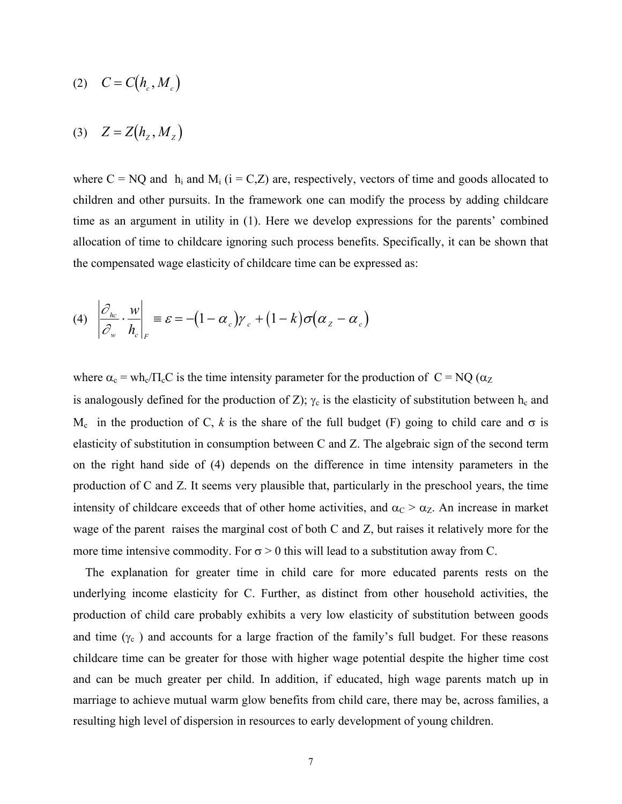$$
(2) \quad C = C(h_c, M_c)
$$

$$
(3) \quad Z = Z(h_z, M_z)
$$

where  $C = NQ$  and  $h_i$  and  $M_i$  ( $i = C,Z$ ) are, respectively, vectors of time and goods allocated to children and other pursuits. In the framework one can modify the process by adding childcare time as an argument in utility in (1). Here we develop expressions for the parents' combined allocation of time to childcare ignoring such process benefits. Specifically, it can be shown that the compensated wage elasticity of childcare time can be expressed as:

$$
(4) \left\| \frac{\partial_{hc}}{\partial_{w}} \cdot \frac{w}{h_{c}} \right\|_{F} \equiv \varepsilon = -(1 - \alpha_{c}) \gamma_{c} + (1 - k) \sigma (\alpha_{z} - \alpha_{c})
$$

where  $\alpha_c = wh_c/\Pi_cC$  is the time intensity parameter for the production of  $C = NQ$  ( $\alpha_Z$ )

is analogously defined for the production of Z);  $\gamma_c$  is the elasticity of substitution between  $h_c$  and M<sub>c</sub> in the production of C, k is the share of the full budget (F) going to child care and  $\sigma$  is elasticity of substitution in consumption between C and Z. The algebraic sign of the second term on the right hand side of (4) depends on the difference in time intensity parameters in the production of C and Z. It seems very plausible that, particularly in the preschool years, the time intensity of childcare exceeds that of other home activities, and  $\alpha_C > \alpha_Z$ . An increase in market wage of the parent raises the marginal cost of both C and Z, but raises it relatively more for the more time intensive commodity. For  $\sigma > 0$  this will lead to a substitution away from C.

The explanation for greater time in child care for more educated parents rests on the underlying income elasticity for C. Further, as distinct from other household activities, the production of child care probably exhibits a very low elasticity of substitution between goods and time  $(\gamma_c)$  and accounts for a large fraction of the family's full budget. For these reasons childcare time can be greater for those with higher wage potential despite the higher time cost and can be much greater per child. In addition, if educated, high wage parents match up in marriage to achieve mutual warm glow benefits from child care, there may be, across families, a resulting high level of dispersion in resources to early development of young children.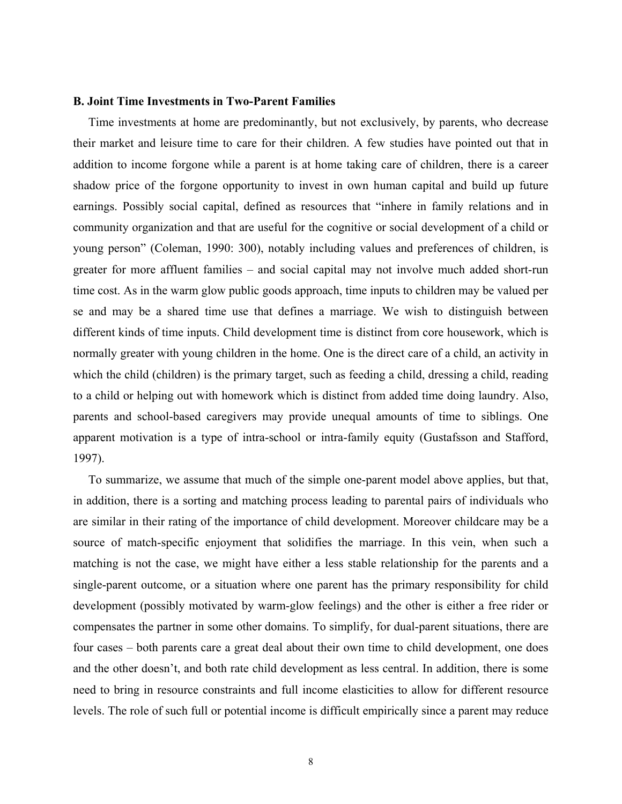#### **B. Joint Time Investments in Two-Parent Families**

 Time investments at home are predominantly, but not exclusively, by parents, who decrease their market and leisure time to care for their children. A few studies have pointed out that in addition to income forgone while a parent is at home taking care of children, there is a career shadow price of the forgone opportunity to invest in own human capital and build up future earnings. Possibly social capital, defined as resources that "inhere in family relations and in community organization and that are useful for the cognitive or social development of a child or young person" (Coleman, 1990: 300), notably including values and preferences of children, is greater for more affluent families – and social capital may not involve much added short-run time cost. As in the warm glow public goods approach, time inputs to children may be valued per se and may be a shared time use that defines a marriage. We wish to distinguish between different kinds of time inputs. Child development time is distinct from core housework, which is normally greater with young children in the home. One is the direct care of a child, an activity in which the child (children) is the primary target, such as feeding a child, dressing a child, reading to a child or helping out with homework which is distinct from added time doing laundry. Also, parents and school-based caregivers may provide unequal amounts of time to siblings. One apparent motivation is a type of intra-school or intra-family equity (Gustafsson and Stafford, 1997).

To summarize, we assume that much of the simple one-parent model above applies, but that, in addition, there is a sorting and matching process leading to parental pairs of individuals who are similar in their rating of the importance of child development. Moreover childcare may be a source of match-specific enjoyment that solidifies the marriage. In this vein, when such a matching is not the case, we might have either a less stable relationship for the parents and a single-parent outcome, or a situation where one parent has the primary responsibility for child development (possibly motivated by warm-glow feelings) and the other is either a free rider or compensates the partner in some other domains. To simplify, for dual-parent situations, there are four cases – both parents care a great deal about their own time to child development, one does and the other doesn't, and both rate child development as less central. In addition, there is some need to bring in resource constraints and full income elasticities to allow for different resource levels. The role of such full or potential income is difficult empirically since a parent may reduce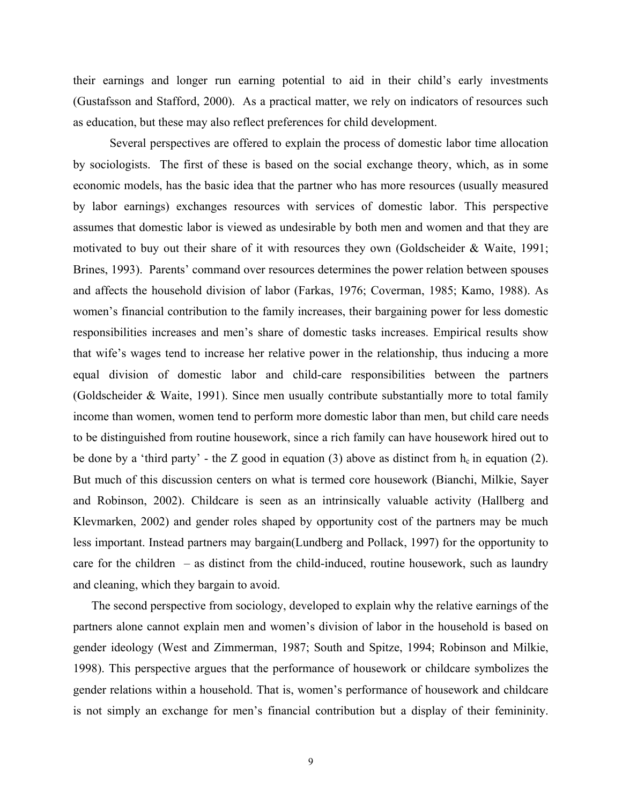their earnings and longer run earning potential to aid in their child's early investments (Gustafsson and Stafford, 2000). As a practical matter, we rely on indicators of resources such as education, but these may also reflect preferences for child development.

Several perspectives are offered to explain the process of domestic labor time allocation by sociologists. The first of these is based on the social exchange theory, which, as in some economic models, has the basic idea that the partner who has more resources (usually measured by labor earnings) exchanges resources with services of domestic labor. This perspective assumes that domestic labor is viewed as undesirable by both men and women and that they are motivated to buy out their share of it with resources they own (Goldscheider & Waite, 1991; Brines, 1993). Parents' command over resources determines the power relation between spouses and affects the household division of labor (Farkas, 1976; Coverman, 1985; Kamo, 1988). As women's financial contribution to the family increases, their bargaining power for less domestic responsibilities increases and men's share of domestic tasks increases. Empirical results show that wife's wages tend to increase her relative power in the relationship, thus inducing a more equal division of domestic labor and child-care responsibilities between the partners (Goldscheider & Waite, 1991). Since men usually contribute substantially more to total family income than women, women tend to perform more domestic labor than men, but child care needs to be distinguished from routine housework, since a rich family can have housework hired out to be done by a 'third party' - the Z good in equation (3) above as distinct from  $h_c$  in equation (2). But much of this discussion centers on what is termed core housework (Bianchi, Milkie, Sayer and Robinson, 2002). Childcare is seen as an intrinsically valuable activity (Hallberg and Klevmarken, 2002) and gender roles shaped by opportunity cost of the partners may be much less important. Instead partners may bargain(Lundberg and Pollack, 1997) for the opportunity to care for the children – as distinct from the child-induced, routine housework, such as laundry and cleaning, which they bargain to avoid.

 The second perspective from sociology, developed to explain why the relative earnings of the partners alone cannot explain men and women's division of labor in the household is based on gender ideology (West and Zimmerman, 1987; South and Spitze, 1994; Robinson and Milkie, 1998). This perspective argues that the performance of housework or childcare symbolizes the gender relations within a household. That is, women's performance of housework and childcare is not simply an exchange for men's financial contribution but a display of their femininity.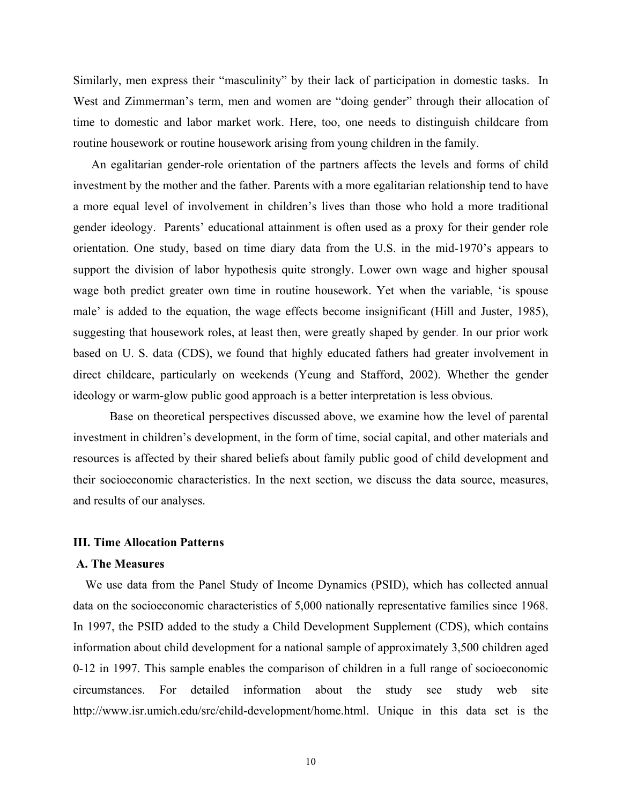Similarly, men express their "masculinity" by their lack of participation in domestic tasks. In West and Zimmerman's term, men and women are "doing gender" through their allocation of time to domestic and labor market work. Here, too, one needs to distinguish childcare from routine housework or routine housework arising from young children in the family.

 An egalitarian gender-role orientation of the partners affects the levels and forms of child investment by the mother and the father. Parents with a more egalitarian relationship tend to have a more equal level of involvement in children's lives than those who hold a more traditional gender ideology. Parents' educational attainment is often used as a proxy for their gender role orientation. One study, based on time diary data from the U.S. in the mid-1970's appears to support the division of labor hypothesis quite strongly. Lower own wage and higher spousal wage both predict greater own time in routine housework. Yet when the variable, 'is spouse male' is added to the equation, the wage effects become insignificant (Hill and Juster, 1985), suggesting that housework roles, at least then, were greatly shaped by gender. In our prior work based on U. S. data (CDS), we found that highly educated fathers had greater involvement in direct childcare, particularly on weekends (Yeung and Stafford, 2002). Whether the gender ideology or warm-glow public good approach is a better interpretation is less obvious.

Base on theoretical perspectives discussed above, we examine how the level of parental investment in children's development, in the form of time, social capital, and other materials and resources is affected by their shared beliefs about family public good of child development and their socioeconomic characteristics. In the next section, we discuss the data source, measures, and results of our analyses.

### **III. Time Allocation Patterns**

## **A. The Measures**

We use data from the Panel Study of Income Dynamics (PSID), which has collected annual data on the socioeconomic characteristics of 5,000 nationally representative families since 1968. In 1997, the PSID added to the study a Child Development Supplement (CDS), which contains information about child development for a national sample of approximately 3,500 children aged 0-12 in 1997. This sample enables the comparison of children in a full range of socioeconomic circumstances. For detailed information about the study see study web site http://www.isr.umich.edu/src/child-development/home.html. Unique in this data set is the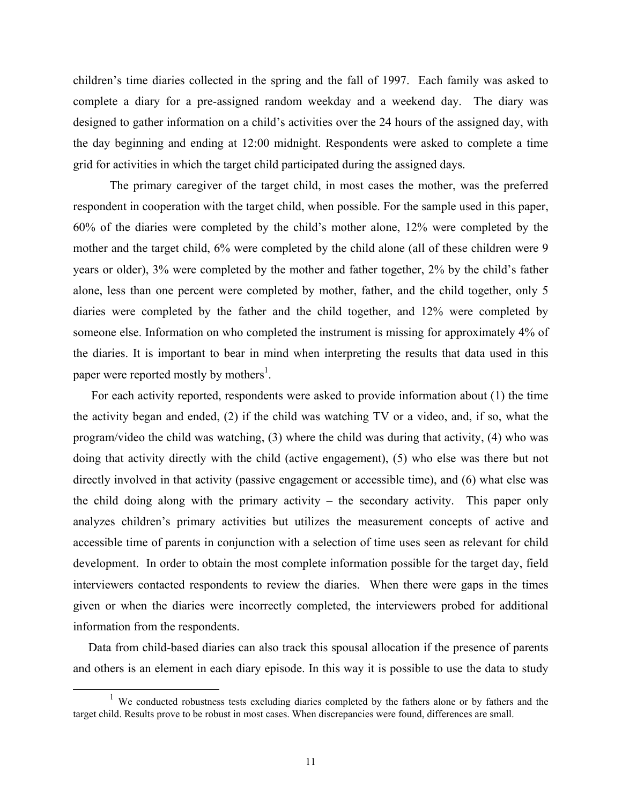children's time diaries collected in the spring and the fall of 1997. Each family was asked to complete a diary for a pre-assigned random weekday and a weekend day. The diary was designed to gather information on a child's activities over the 24 hours of the assigned day, with the day beginning and ending at 12:00 midnight. Respondents were asked to complete a time grid for activities in which the target child participated during the assigned days.

The primary caregiver of the target child, in most cases the mother, was the preferred respondent in cooperation with the target child, when possible. For the sample used in this paper, 60% of the diaries were completed by the child's mother alone, 12% were completed by the mother and the target child, 6% were completed by the child alone (all of these children were 9 years or older), 3% were completed by the mother and father together, 2% by the child's father alone, less than one percent were completed by mother, father, and the child together, only 5 diaries were completed by the father and the child together, and 12% were completed by someone else. Information on who completed the instrument is missing for approximately 4% of the diaries. It is important to bear in mind when interpreting the results that data used in this paper were reported mostly by mothers<sup>1</sup>.

For each activity reported, respondents were asked to provide information about (1) the time the activity began and ended, (2) if the child was watching TV or a video, and, if so, what the program/video the child was watching, (3) where the child was during that activity, (4) who was doing that activity directly with the child (active engagement), (5) who else was there but not directly involved in that activity (passive engagement or accessible time), and (6) what else was the child doing along with the primary activity – the secondary activity. This paper only analyzes children's primary activities but utilizes the measurement concepts of active and accessible time of parents in conjunction with a selection of time uses seen as relevant for child development. In order to obtain the most complete information possible for the target day, field interviewers contacted respondents to review the diaries. When there were gaps in the times given or when the diaries were incorrectly completed, the interviewers probed for additional information from the respondents.

Data from child-based diaries can also track this spousal allocation if the presence of parents and others is an element in each diary episode. In this way it is possible to use the data to study

<span id="page-10-0"></span><sup>&</sup>lt;sup>1</sup> We conducted robustness tests excluding diaries completed by the fathers alone or by fathers and the target child. Results prove to be robust in most cases. When discrepancies were found, differences are small.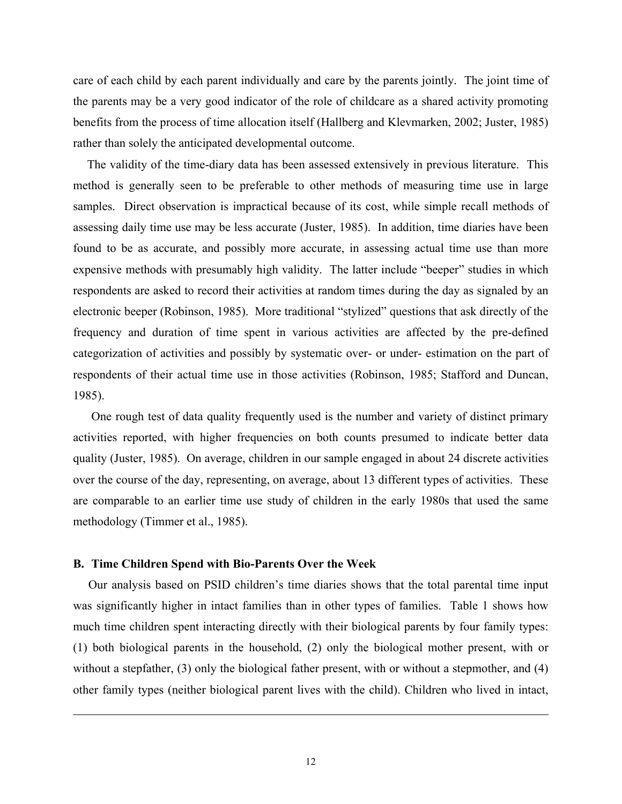care of each child by each parent individually and care by the parents jointly. The joint time of the parents may be a very good indicator of the role of childcare as a shared activity promoting benefits from the process of time allocation itself (Hallberg and Klevmarken, 2002; Juster, 1985) rather than solely the anticipated developmental outcome.

 The validity of the time-diary data has been assessed extensively in previous literature. This method is generally seen to be preferable to other methods of measuring time use in large samples. Direct observation is impractical because of its cost, while simple recall methods of assessing daily time use may be less accurate (Juster, 1985). In addition, time diaries have been found to be as accurate, and possibly more accurate, in assessing actual time use than more expensive methods with presumably high validity. The latter include "beeper" studies in which respondents are asked to record their activities at random times during the day as signaled by an electronic beeper (Robinson, 1985). More traditional "stylized" questions that ask directly of the frequency and duration of time spent in various activities are affected by the pre-defined categorization of activities and possibly by systematic over- or under- estimation on the part of respondents of their actual time use in those activities (Robinson, 1985; Stafford and Duncan, 1985).

One rough test of data quality frequently used is the number and variety of distinct primary activities reported, with higher frequencies on both counts presumed to indicate better data quality (Juster, 1985). On average, children in our sample engaged in about 24 discrete activities over the course of the day, representing, on average, about 13 different types of activities. These are comparable to an earlier time use study of children in the early 1980s that used the same methodology (Timmer et al., 1985).

## **B. Time Children Spend with Bio-Parents Over the Week**

 $\overline{\phantom{a}}$ 

 Our analysis based on PSID children's time diaries shows that the total parental time input was significantly higher in intact families than in other types of families. Table 1 shows how much time children spent interacting directly with their biological parents by four family types: (1) both biological parents in the household, (2) only the biological mother present, with or without a stepfather, (3) only the biological father present, with or without a stepmother, and (4) other family types (neither biological parent lives with the child). Children who lived in intact,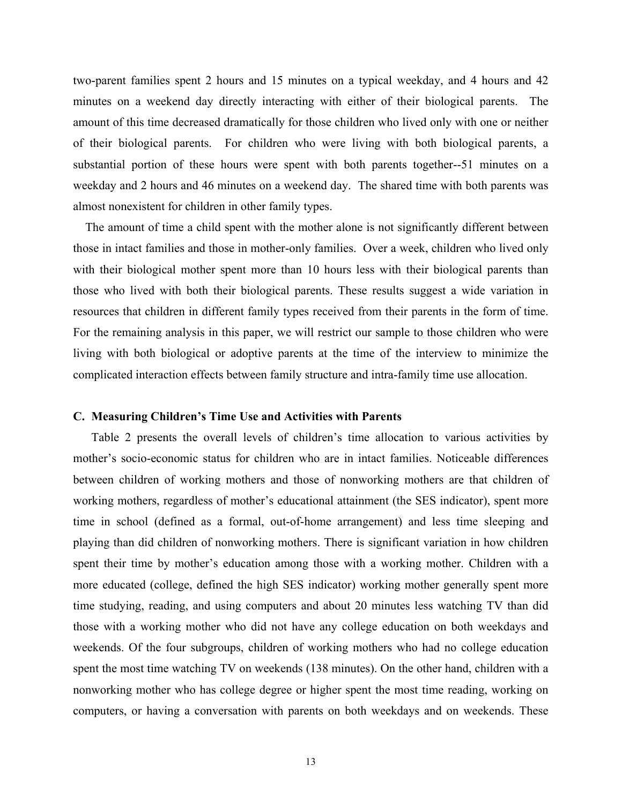two-parent families spent 2 hours and 15 minutes on a typical weekday, and 4 hours and 42 minutes on a weekend day directly interacting with either of their biological parents. The amount of this time decreased dramatically for those children who lived only with one or neither of their biological parents. For children who were living with both biological parents, a substantial portion of these hours were spent with both parents together--51 minutes on a weekday and 2 hours and 46 minutes on a weekend day. The shared time with both parents was almost nonexistent for children in other family types.

The amount of time a child spent with the mother alone is not significantly different between those in intact families and those in mother-only families. Over a week, children who lived only with their biological mother spent more than 10 hours less with their biological parents than those who lived with both their biological parents. These results suggest a wide variation in resources that children in different family types received from their parents in the form of time. For the remaining analysis in this paper, we will restrict our sample to those children who were living with both biological or adoptive parents at the time of the interview to minimize the complicated interaction effects between family structure and intra-family time use allocation.

#### **C. Measuring Children's Time Use and Activities with Parents**

Table 2 presents the overall levels of children's time allocation to various activities by mother's socio-economic status for children who are in intact families. Noticeable differences between children of working mothers and those of nonworking mothers are that children of working mothers, regardless of mother's educational attainment (the SES indicator), spent more time in school (defined as a formal, out-of-home arrangement) and less time sleeping and playing than did children of nonworking mothers. There is significant variation in how children spent their time by mother's education among those with a working mother. Children with a more educated (college, defined the high SES indicator) working mother generally spent more time studying, reading, and using computers and about 20 minutes less watching TV than did those with a working mother who did not have any college education on both weekdays and weekends. Of the four subgroups, children of working mothers who had no college education spent the most time watching TV on weekends (138 minutes). On the other hand, children with a nonworking mother who has college degree or higher spent the most time reading, working on computers, or having a conversation with parents on both weekdays and on weekends. These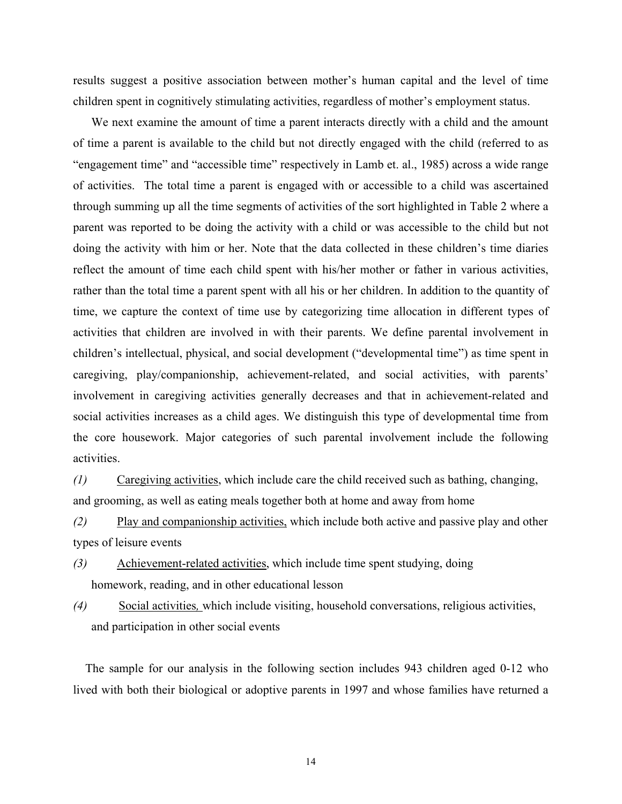results suggest a positive association between mother's human capital and the level of time children spent in cognitively stimulating activities, regardless of mother's employment status.

We next examine the amount of time a parent interacts directly with a child and the amount of time a parent is available to the child but not directly engaged with the child (referred to as "engagement time" and "accessible time" respectively in Lamb et. al., 1985) across a wide range of activities. The total time a parent is engaged with or accessible to a child was ascertained through summing up all the time segments of activities of the sort highlighted in Table 2 where a parent was reported to be doing the activity with a child or was accessible to the child but not doing the activity with him or her. Note that the data collected in these children's time diaries reflect the amount of time each child spent with his/her mother or father in various activities, rather than the total time a parent spent with all his or her children. In addition to the quantity of time, we capture the context of time use by categorizing time allocation in different types of activities that children are involved in with their parents. We define parental involvement in children's intellectual, physical, and social development ("developmental time") as time spent in caregiving, play/companionship, achievement-related, and social activities, with parents' involvement in caregiving activities generally decreases and that in achievement-related and social activities increases as a child ages. We distinguish this type of developmental time from the core housework. Major categories of such parental involvement include the following activities.

*(1)* Caregiving activities, which include care the child received such as bathing, changing, and grooming, as well as eating meals together both at home and away from home

*(2)* Play and companionship activities, which include both active and passive play and other types of leisure events

*(3)* Achievement-related activities, which include time spent studying, doing homework, reading, and in other educational lesson

*(4)* Social activities*,* which include visiting, household conversations, religious activities, and participation in other social events

The sample for our analysis in the following section includes 943 children aged 0-12 who lived with both their biological or adoptive parents in 1997 and whose families have returned a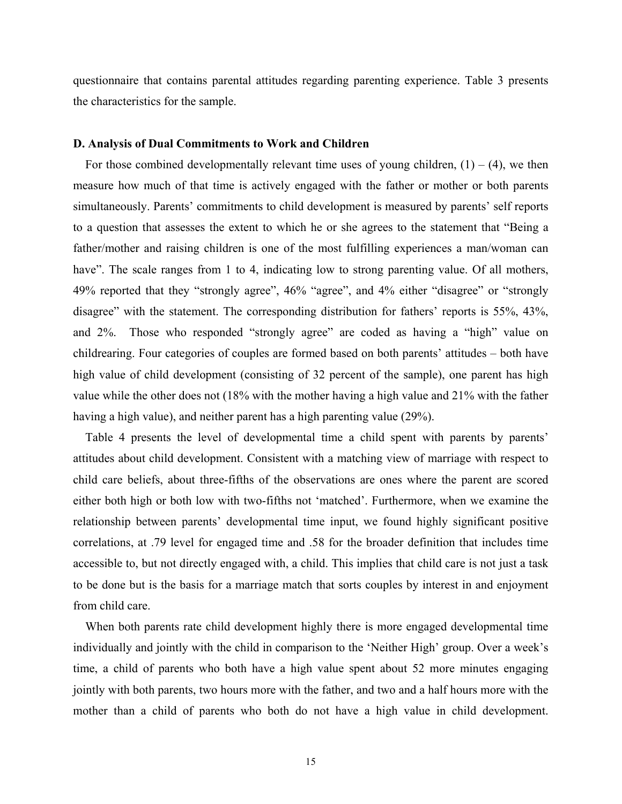questionnaire that contains parental attitudes regarding parenting experience. Table 3 presents the characteristics for the sample.

#### **D. Analysis of Dual Commitments to Work and Children**

For those combined developmentally relevant time uses of young children,  $(1) - (4)$ , we then measure how much of that time is actively engaged with the father or mother or both parents simultaneously. Parents' commitments to child development is measured by parents' self reports to a question that assesses the extent to which he or she agrees to the statement that "Being a father/mother and raising children is one of the most fulfilling experiences a man/woman can have". The scale ranges from 1 to 4, indicating low to strong parenting value. Of all mothers, 49% reported that they "strongly agree", 46% "agree", and 4% either "disagree" or "strongly disagree" with the statement. The corresponding distribution for fathers' reports is 55%, 43%, and 2%. Those who responded "strongly agree" are coded as having a "high" value on childrearing. Four categories of couples are formed based on both parents' attitudes – both have high value of child development (consisting of 32 percent of the sample), one parent has high value while the other does not (18% with the mother having a high value and 21% with the father having a high value), and neither parent has a high parenting value (29%).

Table 4 presents the level of developmental time a child spent with parents by parents' attitudes about child development. Consistent with a matching view of marriage with respect to child care beliefs, about three-fifths of the observations are ones where the parent are scored either both high or both low with two-fifths not 'matched'. Furthermore, when we examine the relationship between parents' developmental time input, we found highly significant positive correlations, at .79 level for engaged time and .58 for the broader definition that includes time accessible to, but not directly engaged with, a child. This implies that child care is not just a task to be done but is the basis for a marriage match that sorts couples by interest in and enjoyment from child care.

When both parents rate child development highly there is more engaged developmental time individually and jointly with the child in comparison to the 'Neither High' group. Over a week's time, a child of parents who both have a high value spent about 52 more minutes engaging jointly with both parents, two hours more with the father, and two and a half hours more with the mother than a child of parents who both do not have a high value in child development.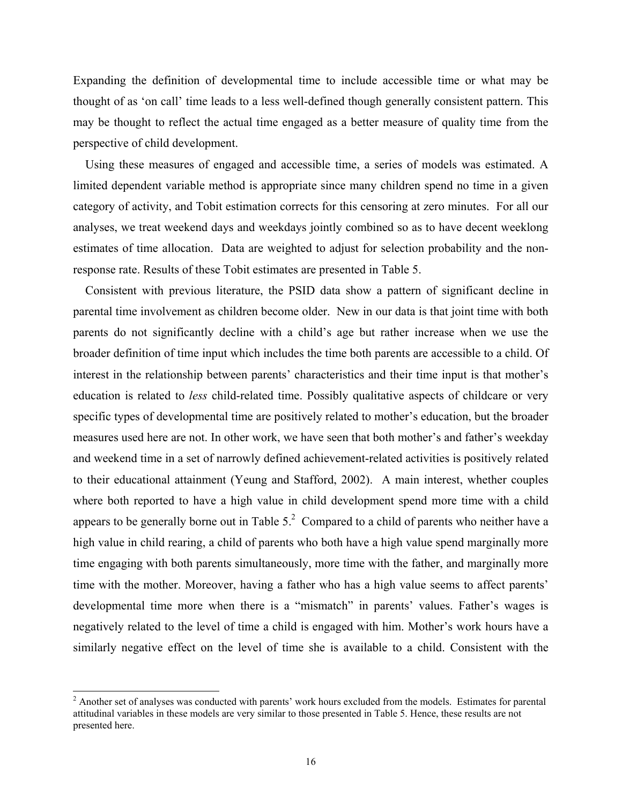Expanding the definition of developmental time to include accessible time or what may be thought of as 'on call' time leads to a less well-defined though generally consistent pattern. This may be thought to reflect the actual time engaged as a better measure of quality time from the perspective of child development.

Using these measures of engaged and accessible time, a series of models was estimated. A limited dependent variable method is appropriate since many children spend no time in a given category of activity, and Tobit estimation corrects for this censoring at zero minutes. For all our analyses, we treat weekend days and weekdays jointly combined so as to have decent weeklong estimates of time allocation. Data are weighted to adjust for selection probability and the nonresponse rate. Results of these Tobit estimates are presented in Table 5.

 Consistent with previous literature, the PSID data show a pattern of significant decline in parental time involvement as children become older. New in our data is that joint time with both parents do not significantly decline with a child's age but rather increase when we use the broader definition of time input which includes the time both parents are accessible to a child. Of interest in the relationship between parents' characteristics and their time input is that mother's education is related to *less* child-related time. Possibly qualitative aspects of childcare or very specific types of developmental time are positively related to mother's education, but the broader measures used here are not. In other work, we have seen that both mother's and father's weekday and weekend time in a set of narrowly defined achievement-related activities is positively related to their educational attainment (Yeung and Stafford, 2002). A main interest, whether couples where both reported to have a high value in child development spend more time with a child appears to be generally borne out in Table  $5<sup>2</sup>$  Compared to a child of parents who neither have a high value in child rearing, a child of parents who both have a high value spend marginally more time engaging with both parents simultaneously, more time with the father, and marginally more time with the mother. Moreover, having a father who has a high value seems to affect parents' developmental time more when there is a "mismatch" in parents' values. Father's wages is negatively related to the level of time a child is engaged with him. Mother's work hours have a similarly negative effect on the level of time she is available to a child. Consistent with the

<span id="page-15-0"></span><sup>&</sup>lt;sup>2</sup> <sup>2</sup> Another set of analyses was conducted with parents' work hours excluded from the models. Estimates for parental attitudinal variables in these models are very similar to those presented in Table 5. Hence, these results are not presented here.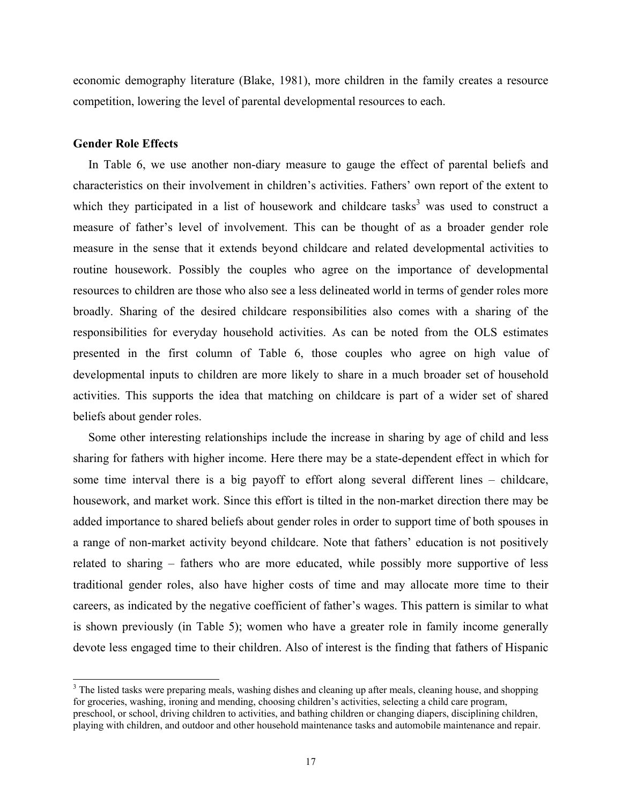economic demography literature (Blake, 1981), more children in the family creates a resource competition, lowering the level of parental developmental resources to each.

#### **Gender Role Effects**

In Table 6, we use another non-diary measure to gauge the effect of parental beliefs and characteristics on their involvement in children's activities. Fathers' own report of the extent to which they participated in a list of housework and childcare tasks<sup>[3](#page-16-0)</sup> was used to construct a measure of father's level of involvement. This can be thought of as a broader gender role measure in the sense that it extends beyond childcare and related developmental activities to routine housework. Possibly the couples who agree on the importance of developmental resources to children are those who also see a less delineated world in terms of gender roles more broadly. Sharing of the desired childcare responsibilities also comes with a sharing of the responsibilities for everyday household activities. As can be noted from the OLS estimates presented in the first column of Table 6, those couples who agree on high value of developmental inputs to children are more likely to share in a much broader set of household activities. This supports the idea that matching on childcare is part of a wider set of shared beliefs about gender roles.

 Some other interesting relationships include the increase in sharing by age of child and less sharing for fathers with higher income. Here there may be a state-dependent effect in which for some time interval there is a big payoff to effort along several different lines – childcare, housework, and market work. Since this effort is tilted in the non-market direction there may be added importance to shared beliefs about gender roles in order to support time of both spouses in a range of non-market activity beyond childcare. Note that fathers' education is not positively related to sharing – fathers who are more educated, while possibly more supportive of less traditional gender roles, also have higher costs of time and may allocate more time to their careers, as indicated by the negative coefficient of father's wages. This pattern is similar to what is shown previously (in Table 5); women who have a greater role in family income generally devote less engaged time to their children. Also of interest is the finding that fathers of Hispanic

<span id="page-16-0"></span> <sup>3</sup> <sup>3</sup> The listed tasks were preparing meals, washing dishes and cleaning up after meals, cleaning house, and shopping for groceries, washing, ironing and mending, choosing children's activities, selecting a child care program, preschool, or school, driving children to activities, and bathing children or changing diapers, disciplining children, playing with children, and outdoor and other household maintenance tasks and automobile maintenance and repair.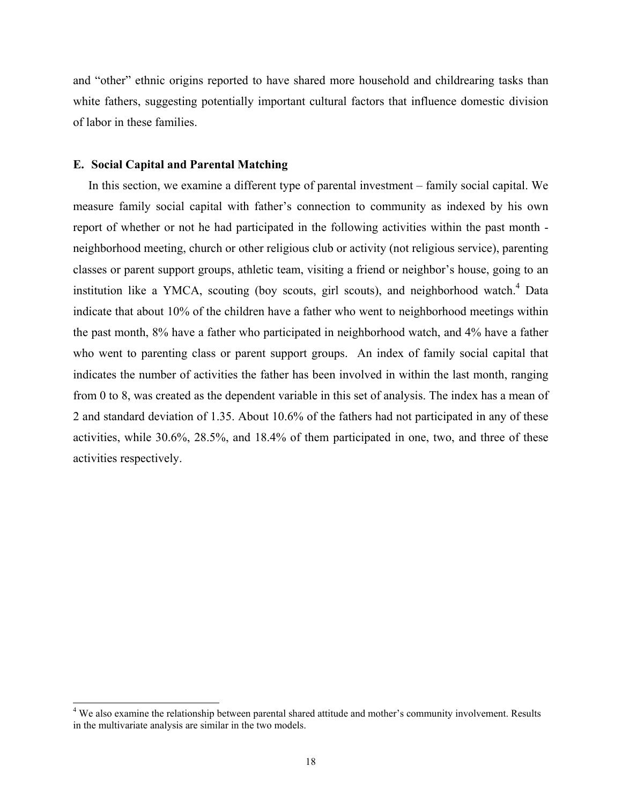and "other" ethnic origins reported to have shared more household and childrearing tasks than white fathers, suggesting potentially important cultural factors that influence domestic division of labor in these families.

#### **E. Social Capital and Parental Matching**

In this section, we examine a different type of parental investment – family social capital. We measure family social capital with father's connection to community as indexed by his own report of whether or not he had participated in the following activities within the past month neighborhood meeting, church or other religious club or activity (not religious service), parenting classes or parent support groups, athletic team, visiting a friend or neighbor's house, going to an institution like a YMCA, scouting (boy scouts, girl scouts), and neighborhood watch.<sup>[4](#page-17-0)</sup> Data indicate that about 10% of the children have a father who went to neighborhood meetings within the past month, 8% have a father who participated in neighborhood watch, and 4% have a father who went to parenting class or parent support groups. An index of family social capital that indicates the number of activities the father has been involved in within the last month, ranging from 0 to 8, was created as the dependent variable in this set of analysis. The index has a mean of 2 and standard deviation of 1.35. About 10.6% of the fathers had not participated in any of these activities, while 30.6%, 28.5%, and 18.4% of them participated in one, two, and three of these activities respectively.

<span id="page-17-0"></span><sup>&</sup>lt;sup>4</sup> We also examine the relationship between parental shared attitude and mother's community involvement. Results in the multivariate analysis are similar in the two models.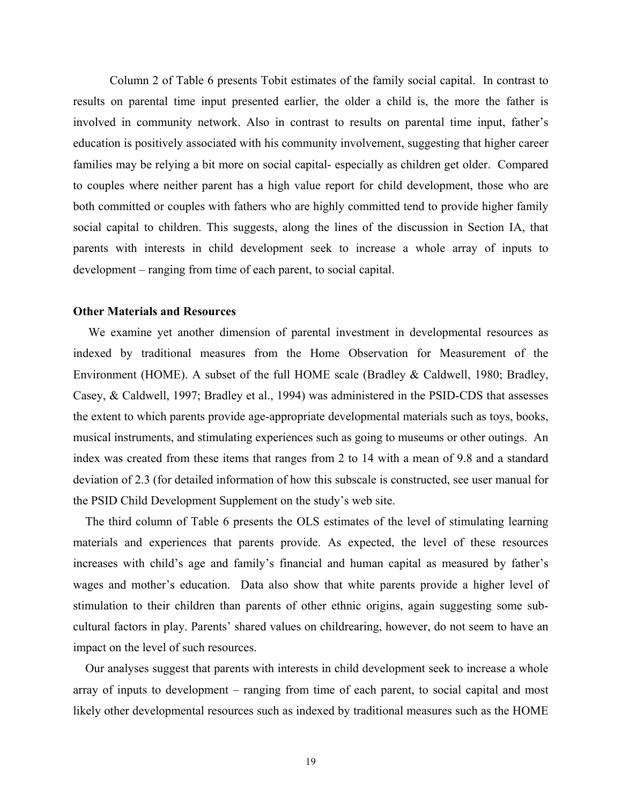Column 2 of Table 6 presents Tobit estimates of the family social capital. In contrast to results on parental time input presented earlier, the older a child is, the more the father is involved in community network. Also in contrast to results on parental time input, father's education is positively associated with his community involvement, suggesting that higher career families may be relying a bit more on social capital- especially as children get older. Compared to couples where neither parent has a high value report for child development, those who are both committed or couples with fathers who are highly committed tend to provide higher family social capital to children. This suggests, along the lines of the discussion in Section IA, that parents with interests in child development seek to increase a whole array of inputs to development – ranging from time of each parent, to social capital.

#### **Other Materials and Resources**

 We examine yet another dimension of parental investment in developmental resources as indexed by traditional measures from the Home Observation for Measurement of the Environment (HOME). A subset of the full HOME scale (Bradley & Caldwell, 1980; Bradley, Casey, & Caldwell, 1997; Bradley et al., 1994) was administered in the PSID-CDS that assesses the extent to which parents provide age-appropriate developmental materials such as toys, books, musical instruments, and stimulating experiences such as going to museums or other outings. An index was created from these items that ranges from 2 to 14 with a mean of 9.8 and a standard deviation of 2.3 (for detailed information of how this subscale is constructed, see user manual for the PSID Child Development Supplement on the study's web site.

 The third column of Table 6 presents the OLS estimates of the level of stimulating learning materials and experiences that parents provide. As expected, the level of these resources increases with child's age and family's financial and human capital as measured by father's wages and mother's education. Data also show that white parents provide a higher level of stimulation to their children than parents of other ethnic origins, again suggesting some subcultural factors in play. Parents' shared values on childrearing, however, do not seem to have an impact on the level of such resources.

 Our analyses suggest that parents with interests in child development seek to increase a whole array of inputs to development – ranging from time of each parent, to social capital and most likely other developmental resources such as indexed by traditional measures such as the HOME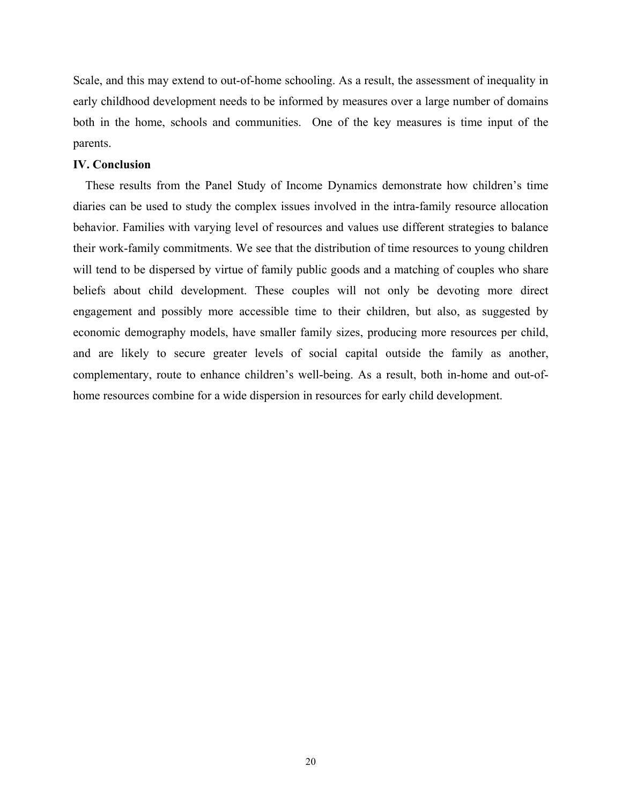Scale, and this may extend to out-of-home schooling. As a result, the assessment of inequality in early childhood development needs to be informed by measures over a large number of domains both in the home, schools and communities. One of the key measures is time input of the parents.

#### **IV. Conclusion**

 These results from the Panel Study of Income Dynamics demonstrate how children's time diaries can be used to study the complex issues involved in the intra-family resource allocation behavior. Families with varying level of resources and values use different strategies to balance their work-family commitments. We see that the distribution of time resources to young children will tend to be dispersed by virtue of family public goods and a matching of couples who share beliefs about child development. These couples will not only be devoting more direct engagement and possibly more accessible time to their children, but also, as suggested by economic demography models, have smaller family sizes, producing more resources per child, and are likely to secure greater levels of social capital outside the family as another, complementary, route to enhance children's well-being. As a result, both in-home and out-ofhome resources combine for a wide dispersion in resources for early child development.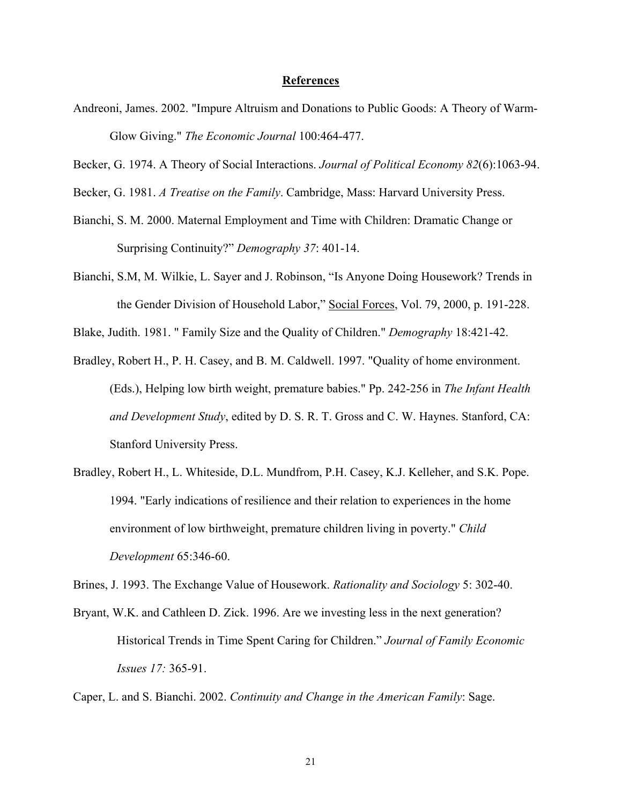#### **References**

- Andreoni, James. 2002. "Impure Altruism and Donations to Public Goods: A Theory of Warm-Glow Giving." *The Economic Journal* 100:464-477.
- Becker, G. 1974. A Theory of Social Interactions. *Journal of Political Economy 82*(6):1063-94.
- Becker, G. 1981. *A Treatise on the Family*. Cambridge, Mass: Harvard University Press.
- Bianchi, S. M. 2000. Maternal Employment and Time with Children: Dramatic Change or Surprising Continuity?" *Demography 37*: 401-14.
- Bianchi, S.M, M. Wilkie, L. Sayer and J. Robinson, "Is Anyone Doing Housework? Trends in the Gender Division of Household Labor," Social Forces, Vol. 79, 2000, p. 191-228.

Blake, Judith. 1981. " Family Size and the Quality of Children." *Demography* 18:421-42.

- Bradley, Robert H., P. H. Casey, and B. M. Caldwell. 1997. "Quality of home environment. (Eds.), Helping low birth weight, premature babies." Pp. 242-256 in *The Infant Health and Development Study*, edited by D. S. R. T. Gross and C. W. Haynes. Stanford, CA: Stanford University Press.
- Bradley, Robert H., L. Whiteside, D.L. Mundfrom, P.H. Casey, K.J. Kelleher, and S.K. Pope. 1994. "Early indications of resilience and their relation to experiences in the home environment of low birthweight, premature children living in poverty." *Child Development* 65:346-60.

Brines, J. 1993. The Exchange Value of Housework. *Rationality and Sociology* 5: 302-40.

Bryant, W.K. and Cathleen D. Zick. 1996. Are we investing less in the next generation? Historical Trends in Time Spent Caring for Children." *Journal of Family Economic Issues 17:* 365-91.

Caper, L. and S. Bianchi. 2002. *Continuity and Change in the American Family*: Sage.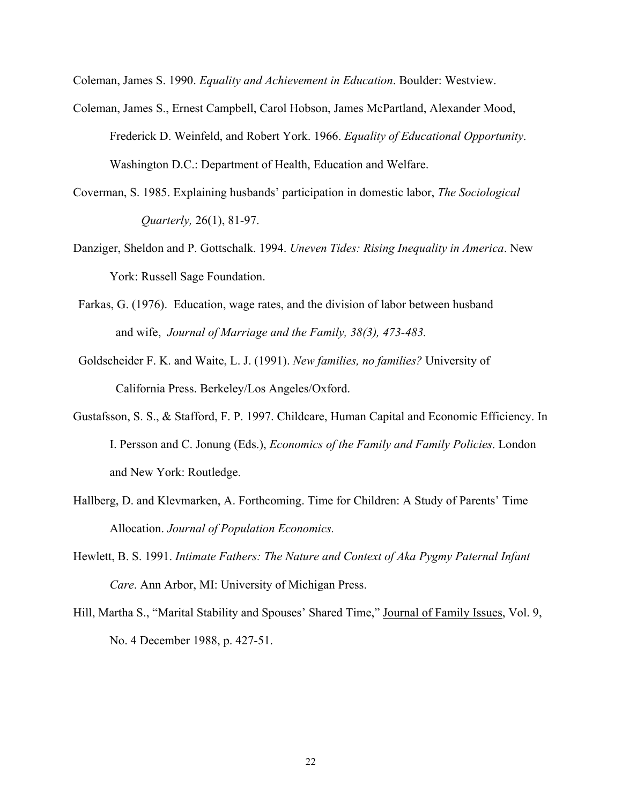Coleman, James S. 1990. *Equality and Achievement in Education*. Boulder: Westview.

- Coleman, James S., Ernest Campbell, Carol Hobson, James McPartland, Alexander Mood, Frederick D. Weinfeld, and Robert York. 1966. *Equality of Educational Opportunity*. Washington D.C.: Department of Health, Education and Welfare.
- Coverman, S. 1985. Explaining husbands' participation in domestic labor, *The Sociological Quarterly,* 26(1), 81-97.
- Danziger, Sheldon and P. Gottschalk. 1994. *Uneven Tides: Rising Inequality in America*. New York: Russell Sage Foundation.
- Farkas, G. (1976). Education, wage rates, and the division of labor between husband and wife, *Journal of Marriage and the Family, 38(3), 473-483.*
- Goldscheider F. K. and Waite, L. J. (1991). *New families, no families?* University of California Press. Berkeley/Los Angeles/Oxford.
- Gustafsson, S. S., & Stafford, F. P. 1997. Childcare, Human Capital and Economic Efficiency. In I. Persson and C. Jonung (Eds.), *Economics of the Family and Family Policies*. London and New York: Routledge.
- Hallberg, D. and Klevmarken, A. Forthcoming. Time for Children: A Study of Parents' Time Allocation. *Journal of Population Economics.*
- Hewlett, B. S. 1991. *Intimate Fathers: The Nature and Context of Aka Pygmy Paternal Infant Care*. Ann Arbor, MI: University of Michigan Press.
- Hill, Martha S., "Marital Stability and Spouses' Shared Time," Journal of Family Issues, Vol. 9, No. 4 December 1988, p. 427-51.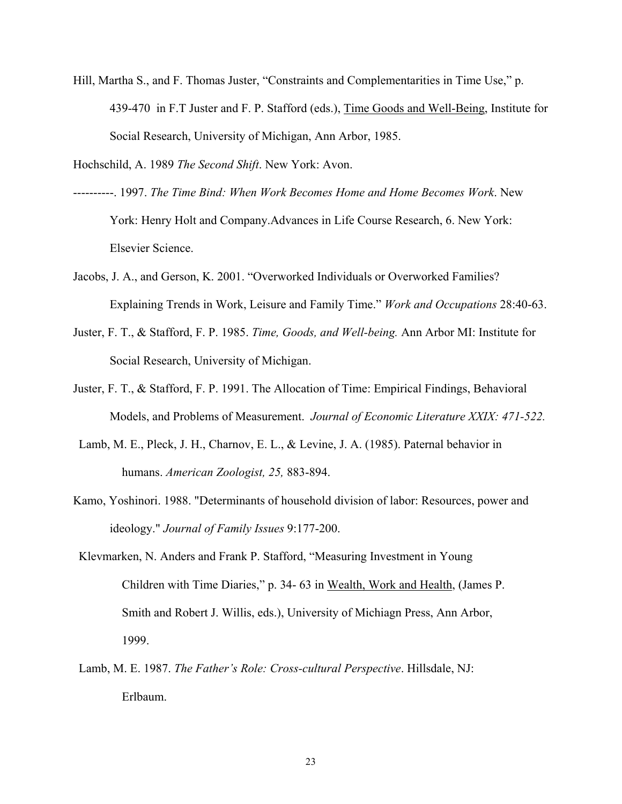Hill, Martha S., and F. Thomas Juster, "Constraints and Complementarities in Time Use," p. 439-470 in F.T Juster and F. P. Stafford (eds.), Time Goods and Well-Being, Institute for Social Research, University of Michigan, Ann Arbor, 1985.

Hochschild, A. 1989 *The Second Shift*. New York: Avon.

- ----------. 1997. *The Time Bind: When Work Becomes Home and Home Becomes Work*. New York: Henry Holt and Company.Advances in Life Course Research, 6. New York: Elsevier Science.
- Jacobs, J. A., and Gerson, K. 2001. "Overworked Individuals or Overworked Families? Explaining Trends in Work, Leisure and Family Time." *Work and Occupations* 28:40-63.
- Juster, F. T., & Stafford, F. P. 1985. *Time, Goods, and Well-being.* Ann Arbor MI: Institute for Social Research, University of Michigan.
- Juster, F. T., & Stafford, F. P. 1991. The Allocation of Time: Empirical Findings, Behavioral Models, and Problems of Measurement. *Journal of Economic Literature XXIX: 471-522.*
- Lamb, M. E., Pleck, J. H., Charnov, E. L., & Levine, J. A. (1985). Paternal behavior in humans. *American Zoologist, 25,* 883-894.
- Kamo, Yoshinori. 1988. "Determinants of household division of labor: Resources, power and ideology." *Journal of Family Issues* 9:177-200.
- Klevmarken, N. Anders and Frank P. Stafford, "Measuring Investment in Young Children with Time Diaries," p. 34- 63 in Wealth, Work and Health, (James P. Smith and Robert J. Willis, eds.), University of Michiagn Press, Ann Arbor, 1999.
- Lamb, M. E. 1987. *The Father's Role: Cross-cultural Perspective*. Hillsdale, NJ: Erlbaum.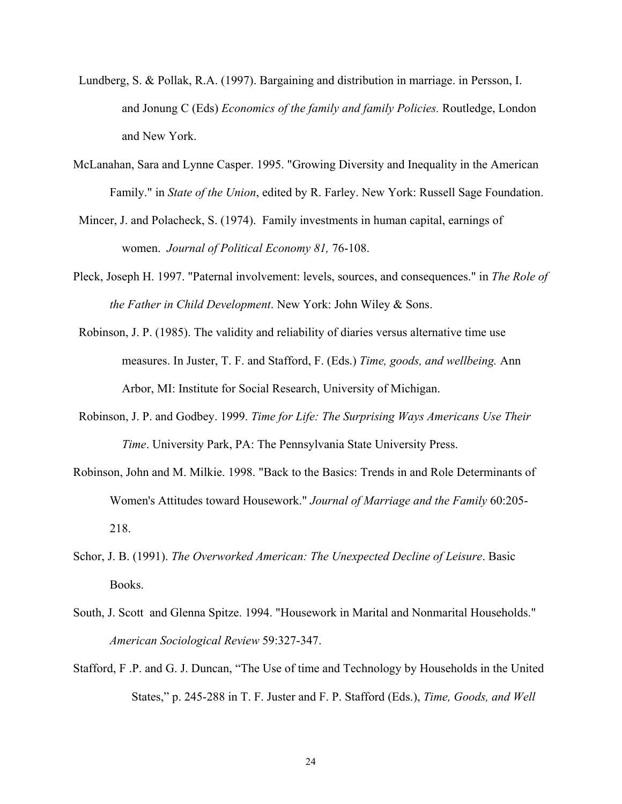- Lundberg, S. & Pollak, R.A. (1997). Bargaining and distribution in marriage. in Persson, I. and Jonung C (Eds) *Economics of the family and family Policies.* Routledge, London and New York.
- McLanahan, Sara and Lynne Casper. 1995. "Growing Diversity and Inequality in the American Family." in *State of the Union*, edited by R. Farley. New York: Russell Sage Foundation.
- Mincer, J. and Polacheck, S. (1974). Family investments in human capital, earnings of women. *Journal of Political Economy 81,* 76-108.
- Pleck, Joseph H. 1997. "Paternal involvement: levels, sources, and consequences." in *The Role of the Father in Child Development*. New York: John Wiley & Sons.
- Robinson, J. P. (1985). The validity and reliability of diaries versus alternative time use measures. In Juster, T. F. and Stafford, F. (Eds.) *Time, goods, and wellbeing.* Ann Arbor, MI: Institute for Social Research, University of Michigan.
- Robinson, J. P. and Godbey. 1999. *Time for Life: The Surprising Ways Americans Use Their Time*. University Park, PA: The Pennsylvania State University Press.
- Robinson, John and M. Milkie. 1998. "Back to the Basics: Trends in and Role Determinants of Women's Attitudes toward Housework." *Journal of Marriage and the Family* 60:205- 218.
- Schor, J. B. (1991). *The Overworked American: The Unexpected Decline of Leisure*. Basic Books.
- South, J. Scott and Glenna Spitze. 1994. "Housework in Marital and Nonmarital Households." *American Sociological Review* 59:327-347.
- Stafford, F .P. and G. J. Duncan, "The Use of time and Technology by Households in the United States," p. 245-288 in T. F. Juster and F. P. Stafford (Eds.), *Time, Goods, and Well*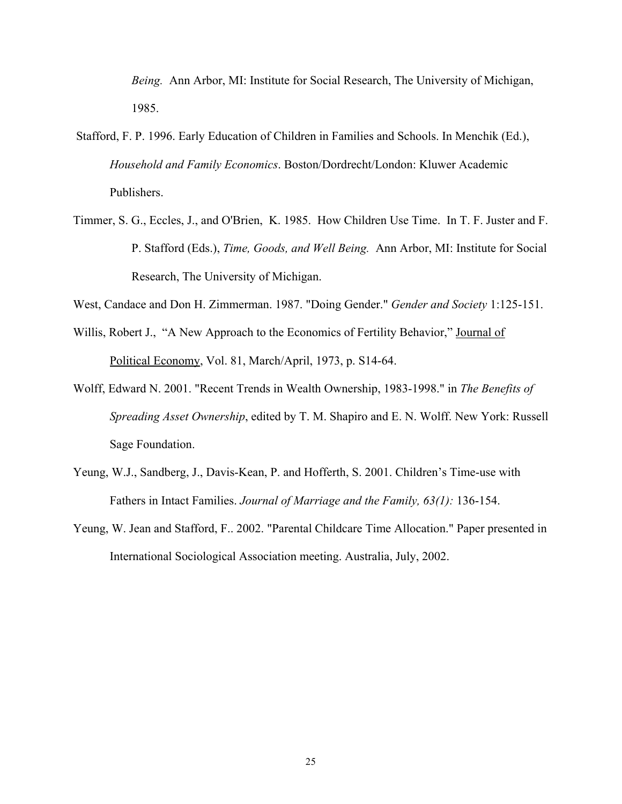*Being.* Ann Arbor, MI: Institute for Social Research, The University of Michigan, 1985.

- Stafford, F. P. 1996. Early Education of Children in Families and Schools. In Menchik (Ed.), *Household and Family Economics*. Boston/Dordrecht/London: Kluwer Academic Publishers.
- Timmer, S. G., Eccles, J., and O'Brien, K. 1985. How Children Use Time. In T. F. Juster and F. P. Stafford (Eds.), *Time, Goods, and Well Being.* Ann Arbor, MI: Institute for Social Research, The University of Michigan.
- West, Candace and Don H. Zimmerman. 1987. "Doing Gender." *Gender and Society* 1:125-151.
- Willis, Robert J., "A New Approach to the Economics of Fertility Behavior," Journal of Political Economy, Vol. 81, March/April, 1973, p. S14-64.
- Wolff, Edward N. 2001. "Recent Trends in Wealth Ownership, 1983-1998." in *The Benefits of Spreading Asset Ownership*, edited by T. M. Shapiro and E. N. Wolff. New York: Russell Sage Foundation.
- Yeung, W.J., Sandberg, J., Davis-Kean, P. and Hofferth, S. 2001. Children's Time-use with Fathers in Intact Families. *Journal of Marriage and the Family, 63(1):* 136-154.
- Yeung, W. Jean and Stafford, F.. 2002. "Parental Childcare Time Allocation." Paper presented in International Sociological Association meeting. Australia, July, 2002.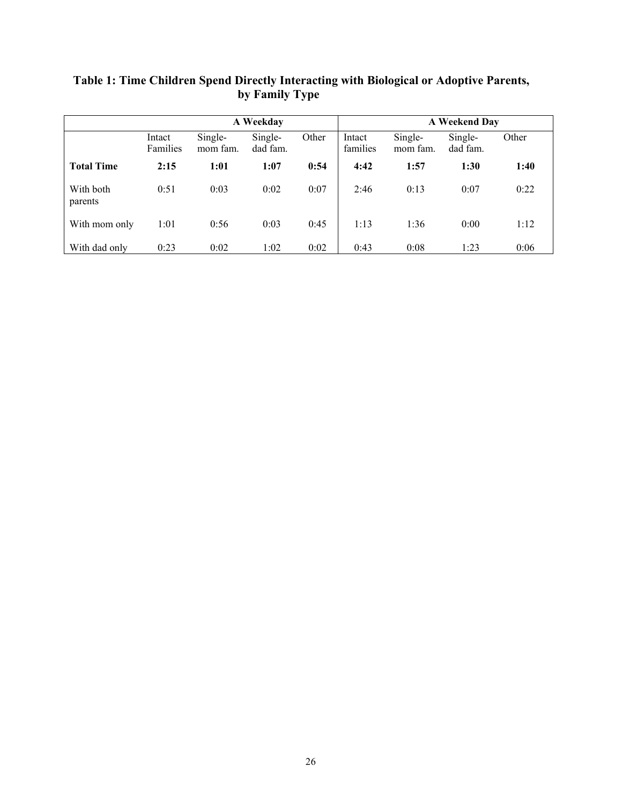|                      | A Weekday          |                     |                     |       | <b>A Weekend Day</b> |                     |                     |       |
|----------------------|--------------------|---------------------|---------------------|-------|----------------------|---------------------|---------------------|-------|
|                      | Intact<br>Families | Single-<br>mom fam. | Single-<br>dad fam. | Other | Intact<br>families   | Single-<br>mom fam. | Single-<br>dad fam. | Other |
| <b>Total Time</b>    | 2:15               | 1:01                | 1:07                | 0:54  | 4:42                 | 1:57                | 1:30                | 1:40  |
| With both<br>parents | 0:51               | 0:03                | 0:02                | 0:07  | 2:46                 | 0:13                | 0:07                | 0:22  |
| With mom only        | 1:01               | 0:56                | 0:03                | 0:45  | 1:13                 | 1:36                | 0:00                | 1:12  |
| With dad only        | 0:23               | 0:02                | 1:02                | 0:02  | 0:43                 | 0:08                | 1:23                | 0:06  |

## **Table 1: Time Children Spend Directly Interacting with Biological or Adoptive Parents, by Family Type**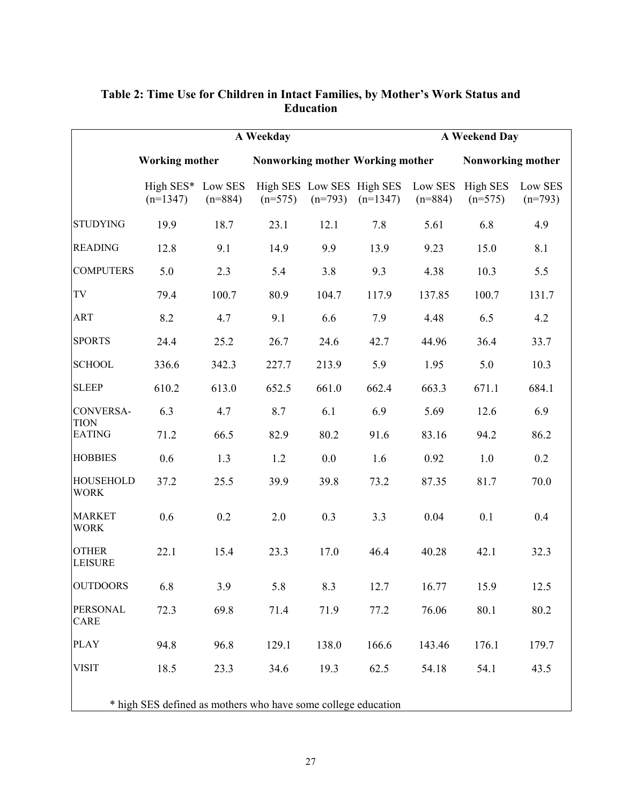|                                                               | A Weekday                                   |           |                                  |           | <b>A Weekend Day</b>                            |           |                              |                      |  |
|---------------------------------------------------------------|---------------------------------------------|-----------|----------------------------------|-----------|-------------------------------------------------|-----------|------------------------------|----------------------|--|
|                                                               | <b>Working mother</b>                       |           | Nonworking mother Working mother |           |                                                 |           | Nonworking mother            |                      |  |
|                                                               | High SES <sup>*</sup> Low SES<br>$(n=1347)$ | $(n=884)$ | $(n=575)$                        | $(n=793)$ | High SES Low SES High SES Low SES<br>$(n=1347)$ | $(n=884)$ | <b>High SES</b><br>$(n=575)$ | Low SES<br>$(n=793)$ |  |
| <b>STUDYING</b>                                               | 19.9                                        | 18.7      | 23.1                             | 12.1      | 7.8                                             | 5.61      | 6.8                          | 4.9                  |  |
| <b>READING</b>                                                | 12.8                                        | 9.1       | 14.9                             | 9.9       | 13.9                                            | 9.23      | 15.0                         | 8.1                  |  |
| <b>COMPUTERS</b>                                              | 5.0                                         | 2.3       | 5.4                              | 3.8       | 9.3                                             | 4.38      | 10.3                         | 5.5                  |  |
| TV                                                            | 79.4                                        | 100.7     | 80.9                             | 104.7     | 117.9                                           | 137.85    | 100.7                        | 131.7                |  |
| <b>ART</b>                                                    | 8.2                                         | 4.7       | 9.1                              | 6.6       | 7.9                                             | 4.48      | 6.5                          | 4.2                  |  |
| <b>SPORTS</b>                                                 | 24.4                                        | 25.2      | 26.7                             | 24.6      | 42.7                                            | 44.96     | 36.4                         | 33.7                 |  |
| <b>SCHOOL</b>                                                 | 336.6                                       | 342.3     | 227.7                            | 213.9     | 5.9                                             | 1.95      | 5.0                          | 10.3                 |  |
| <b>SLEEP</b>                                                  | 610.2                                       | 613.0     | 652.5                            | 661.0     | 662.4                                           | 663.3     | 671.1                        | 684.1                |  |
| <b>CONVERSA-</b><br><b>TION</b>                               | 6.3                                         | 4.7       | 8.7                              | 6.1       | 6.9                                             | 5.69      | 12.6                         | 6.9                  |  |
| <b>EATING</b>                                                 | 71.2                                        | 66.5      | 82.9                             | 80.2      | 91.6                                            | 83.16     | 94.2                         | 86.2                 |  |
| <b>HOBBIES</b>                                                | 0.6                                         | 1.3       | 1.2                              | 0.0       | 1.6                                             | 0.92      | 1.0                          | 0.2                  |  |
| <b>HOUSEHOLD</b><br><b>WORK</b>                               | 37.2                                        | 25.5      | 39.9                             | 39.8      | 73.2                                            | 87.35     | 81.7                         | 70.0                 |  |
| <b>MARKET</b><br><b>WORK</b>                                  | 0.6                                         | 0.2       | 2.0                              | 0.3       | 3.3                                             | 0.04      | 0.1                          | 0.4                  |  |
| <b>OTHER</b><br><b>LEISURE</b>                                | 22.1                                        | 15.4      | 23.3                             | 17.0      | 46.4                                            | 40.28     | 42.1                         | 32.3                 |  |
| <b>OUTDOORS</b>                                               | 6.8                                         | 3.9       | 5.8                              | 8.3       | 12.7                                            | 16.77     | 15.9                         | 12.5                 |  |
| <b>PERSONAL</b><br>CARE                                       | 72.3                                        | 69.8      | 71.4                             | 71.9      | 77.2                                            | 76.06     | 80.1                         | 80.2                 |  |
| <b>PLAY</b>                                                   | 94.8                                        | 96.8      | 129.1                            | 138.0     | 166.6                                           | 143.46    | 176.1                        | 179.7                |  |
| <b>VISIT</b>                                                  | 18.5                                        | 23.3      | 34.6                             | 19.3      | 62.5                                            | 54.18     | 54.1                         | 43.5                 |  |
| * high SES defined as mothers who have some college education |                                             |           |                                  |           |                                                 |           |                              |                      |  |

## **Table 2: Time Use for Children in Intact Families, by Mother's Work Status and Education**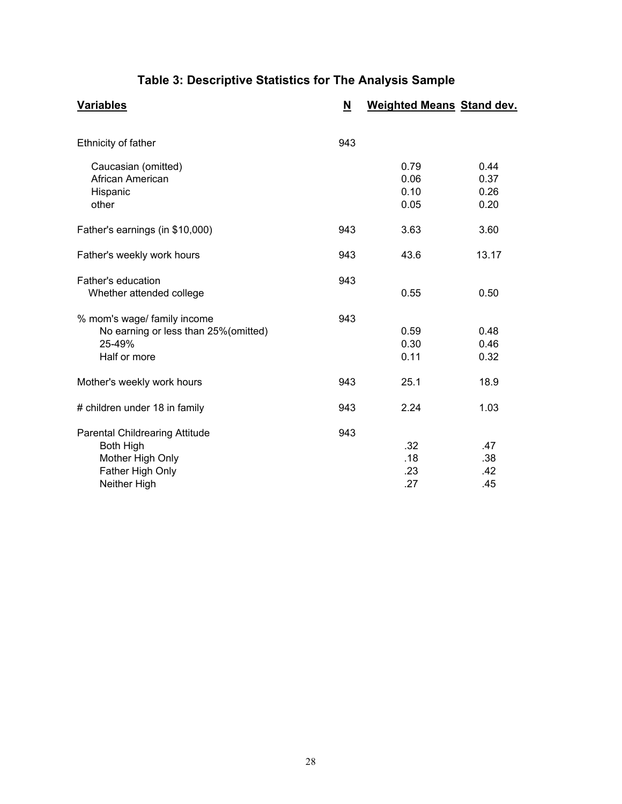# **Table 3: Descriptive Statistics for The Analysis Sample**

| <b>Variables</b>                                                                                                  | $\underline{\mathsf{N}}$<br><b>Weighted Means Stand dev.</b> |
|-------------------------------------------------------------------------------------------------------------------|--------------------------------------------------------------|
| Ethnicity of father                                                                                               | 943                                                          |
| Caucasian (omitted)<br>African American<br>Hispanic<br>other                                                      | 0.79<br>0.44<br>0.06<br>0.37<br>0.10<br>0.26<br>0.05<br>0.20 |
| Father's earnings (in \$10,000)                                                                                   | 3.63<br>3.60<br>943                                          |
| Father's weekly work hours                                                                                        | 43.6<br>13.17<br>943                                         |
| Father's education<br>Whether attended college                                                                    | 943<br>0.55<br>0.50                                          |
| % mom's wage/ family income<br>No earning or less than 25% (omitted)<br>25-49%<br>Half or more                    | 943<br>0.59<br>0.48<br>0.30<br>0.46<br>0.11<br>0.32          |
| Mother's weekly work hours                                                                                        | 25.1<br>18.9<br>943                                          |
| # children under 18 in family                                                                                     | 2.24<br>943<br>1.03                                          |
| <b>Parental Childrearing Attitude</b><br><b>Both High</b><br>Mother High Only<br>Father High Only<br>Neither High | 943<br>.32<br>.47<br>.18<br>.38<br>.23<br>.42<br>.27<br>.45  |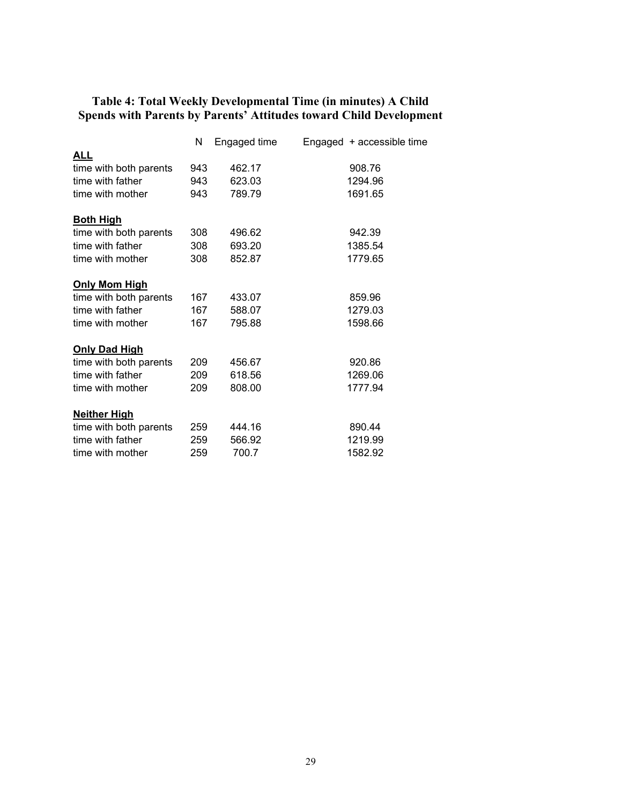## **Table 4: Total Weekly Developmental Time (in minutes) A Child Spends with Parents by Parents' Attitudes toward Child Development**

|                        | N   | Engaged time | Engaged + accessible time |
|------------------------|-----|--------------|---------------------------|
| <u>ALL</u>             |     |              |                           |
| time with both parents | 943 | 462.17       | 908.76                    |
| time with father       | 943 | 623.03       | 1294.96                   |
| time with mother       | 943 | 789.79       | 1691.65                   |
| <b>Both High</b>       |     |              |                           |
| time with both parents | 308 | 496.62       | 942.39                    |
| time with father       | 308 | 693.20       | 1385.54                   |
| time with mother       | 308 | 852.87       | 1779.65                   |
| <b>Only Mom High</b>   |     |              |                           |
| time with both parents | 167 | 433.07       | 859.96                    |
| time with father       | 167 | 588.07       | 1279.03                   |
| time with mother       | 167 | 795.88       | 1598.66                   |
| <b>Only Dad High</b>   |     |              |                           |
| time with both parents | 209 | 456.67       | 920.86                    |
| time with father       | 209 | 618.56       | 1269.06                   |
| time with mother       | 209 | 808.00       | 1777.94                   |
| <b>Neither High</b>    |     |              |                           |
| time with both parents | 259 | 444.16       | 890.44                    |
| time with father       | 259 | 566.92       | 1219.99                   |
| time with mother       | 259 | 700.7        | 1582.92                   |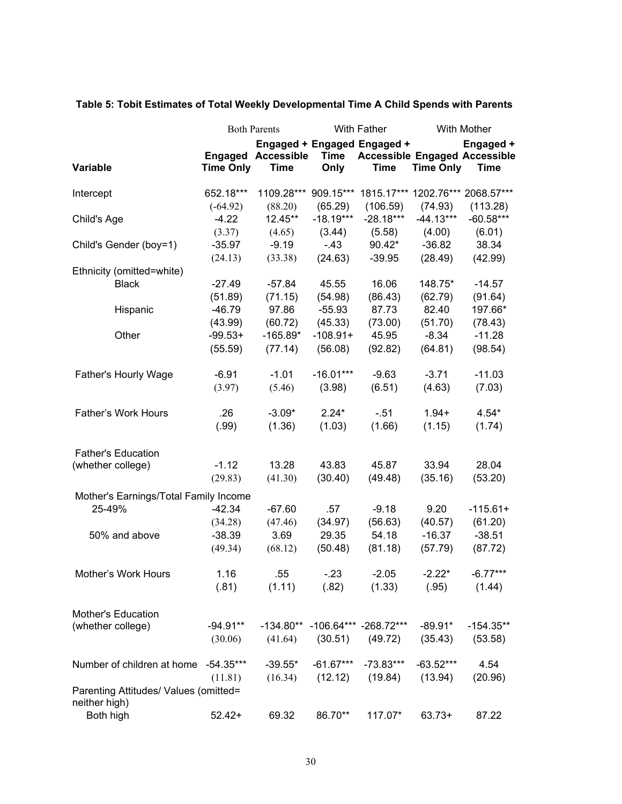| Engaged + Engaged Engaged +<br><b>Time</b><br><b>Accessible Engaged Accessible</b><br><b>Engaged Accessible</b><br>Variable<br><b>Time Only</b><br><b>Time</b><br>Only<br><b>Time</b><br><b>Time Only</b><br>Time<br>652.18***<br>1109.28***<br>909.15***<br>1815.17*** 1202.76*** 2068.57***<br>Intercept<br>$(-64.92)$<br>(88.20)<br>(65.29)<br>(106.59)<br>(74.93)<br>(113.28)<br>12.45**<br>$-18.19***$<br>$-28.18***$<br>$-44.13***$<br>$-60.58***$<br>$-4.22$<br>Child's Age<br>(3.37)<br>(4.65)<br>(3.44)<br>(5.58)<br>(4.00)<br>(6.01)<br>$-35.97$<br>90.42*<br>$-36.82$<br>38.34<br>Child's Gender (boy=1)<br>$-9.19$<br>-.43<br>(24.13)<br>(33.38)<br>(24.63)<br>$-39.95$<br>(28.49)<br>(42.99)<br>Ethnicity (omitted=white)<br>16.06<br>148.75*<br><b>Black</b><br>$-27.49$<br>$-57.84$<br>45.55<br>$-14.57$<br>(51.89)<br>(71.15)<br>(86.43)<br>(62.79)<br>(91.64)<br>(54.98)<br>87.73<br>82.40<br>$-46.79$<br>97.86<br>$-55.93$<br>197.66*<br>Hispanic<br>(43.99)<br>(45.33)<br>(73.00)<br>(51.70)<br>(60.72)<br>(78.43)<br>$-99.53+$<br>$-165.89*$<br>$-108.91+$<br>45.95<br>$-8.34$<br>$-11.28$<br>Other<br>(55.59)<br>(77.14)<br>(56.08)<br>(92.82)<br>(64.81)<br>(98.54)<br>$-1.01$<br>$-16.01***$<br>$-3.71$<br>$-11.03$<br>Father's Hourly Wage<br>$-6.91$<br>$-9.63$<br>(7.03)<br>(3.97)<br>(5.46)<br>(6.51)<br>(4.63)<br>(3.98) | <b>Both Parents</b> |  | <b>With Father</b> |  | With Mother |           |  |
|------------------------------------------------------------------------------------------------------------------------------------------------------------------------------------------------------------------------------------------------------------------------------------------------------------------------------------------------------------------------------------------------------------------------------------------------------------------------------------------------------------------------------------------------------------------------------------------------------------------------------------------------------------------------------------------------------------------------------------------------------------------------------------------------------------------------------------------------------------------------------------------------------------------------------------------------------------------------------------------------------------------------------------------------------------------------------------------------------------------------------------------------------------------------------------------------------------------------------------------------------------------------------------------------------------------------------------------------------|---------------------|--|--------------------|--|-------------|-----------|--|
|                                                                                                                                                                                                                                                                                                                                                                                                                                                                                                                                                                                                                                                                                                                                                                                                                                                                                                                                                                                                                                                                                                                                                                                                                                                                                                                                                      |                     |  |                    |  |             | Engaged + |  |
|                                                                                                                                                                                                                                                                                                                                                                                                                                                                                                                                                                                                                                                                                                                                                                                                                                                                                                                                                                                                                                                                                                                                                                                                                                                                                                                                                      |                     |  |                    |  |             |           |  |
|                                                                                                                                                                                                                                                                                                                                                                                                                                                                                                                                                                                                                                                                                                                                                                                                                                                                                                                                                                                                                                                                                                                                                                                                                                                                                                                                                      |                     |  |                    |  |             |           |  |
|                                                                                                                                                                                                                                                                                                                                                                                                                                                                                                                                                                                                                                                                                                                                                                                                                                                                                                                                                                                                                                                                                                                                                                                                                                                                                                                                                      |                     |  |                    |  |             |           |  |
|                                                                                                                                                                                                                                                                                                                                                                                                                                                                                                                                                                                                                                                                                                                                                                                                                                                                                                                                                                                                                                                                                                                                                                                                                                                                                                                                                      |                     |  |                    |  |             |           |  |
|                                                                                                                                                                                                                                                                                                                                                                                                                                                                                                                                                                                                                                                                                                                                                                                                                                                                                                                                                                                                                                                                                                                                                                                                                                                                                                                                                      |                     |  |                    |  |             |           |  |
|                                                                                                                                                                                                                                                                                                                                                                                                                                                                                                                                                                                                                                                                                                                                                                                                                                                                                                                                                                                                                                                                                                                                                                                                                                                                                                                                                      |                     |  |                    |  |             |           |  |
|                                                                                                                                                                                                                                                                                                                                                                                                                                                                                                                                                                                                                                                                                                                                                                                                                                                                                                                                                                                                                                                                                                                                                                                                                                                                                                                                                      |                     |  |                    |  |             |           |  |
|                                                                                                                                                                                                                                                                                                                                                                                                                                                                                                                                                                                                                                                                                                                                                                                                                                                                                                                                                                                                                                                                                                                                                                                                                                                                                                                                                      |                     |  |                    |  |             |           |  |
|                                                                                                                                                                                                                                                                                                                                                                                                                                                                                                                                                                                                                                                                                                                                                                                                                                                                                                                                                                                                                                                                                                                                                                                                                                                                                                                                                      |                     |  |                    |  |             |           |  |
|                                                                                                                                                                                                                                                                                                                                                                                                                                                                                                                                                                                                                                                                                                                                                                                                                                                                                                                                                                                                                                                                                                                                                                                                                                                                                                                                                      |                     |  |                    |  |             |           |  |
|                                                                                                                                                                                                                                                                                                                                                                                                                                                                                                                                                                                                                                                                                                                                                                                                                                                                                                                                                                                                                                                                                                                                                                                                                                                                                                                                                      |                     |  |                    |  |             |           |  |
|                                                                                                                                                                                                                                                                                                                                                                                                                                                                                                                                                                                                                                                                                                                                                                                                                                                                                                                                                                                                                                                                                                                                                                                                                                                                                                                                                      |                     |  |                    |  |             |           |  |
|                                                                                                                                                                                                                                                                                                                                                                                                                                                                                                                                                                                                                                                                                                                                                                                                                                                                                                                                                                                                                                                                                                                                                                                                                                                                                                                                                      |                     |  |                    |  |             |           |  |
|                                                                                                                                                                                                                                                                                                                                                                                                                                                                                                                                                                                                                                                                                                                                                                                                                                                                                                                                                                                                                                                                                                                                                                                                                                                                                                                                                      |                     |  |                    |  |             |           |  |
|                                                                                                                                                                                                                                                                                                                                                                                                                                                                                                                                                                                                                                                                                                                                                                                                                                                                                                                                                                                                                                                                                                                                                                                                                                                                                                                                                      |                     |  |                    |  |             |           |  |
|                                                                                                                                                                                                                                                                                                                                                                                                                                                                                                                                                                                                                                                                                                                                                                                                                                                                                                                                                                                                                                                                                                                                                                                                                                                                                                                                                      |                     |  |                    |  |             |           |  |
|                                                                                                                                                                                                                                                                                                                                                                                                                                                                                                                                                                                                                                                                                                                                                                                                                                                                                                                                                                                                                                                                                                                                                                                                                                                                                                                                                      |                     |  |                    |  |             |           |  |
| .26<br>$-3.09*$<br>$2.24*$<br>$-.51$<br>$1.94 +$<br>$4.54*$<br>Father's Work Hours                                                                                                                                                                                                                                                                                                                                                                                                                                                                                                                                                                                                                                                                                                                                                                                                                                                                                                                                                                                                                                                                                                                                                                                                                                                                   |                     |  |                    |  |             |           |  |
| (.99)<br>(1.66)<br>(1.15)<br>(1.36)<br>(1.03)<br>(1.74)                                                                                                                                                                                                                                                                                                                                                                                                                                                                                                                                                                                                                                                                                                                                                                                                                                                                                                                                                                                                                                                                                                                                                                                                                                                                                              |                     |  |                    |  |             |           |  |
| <b>Father's Education</b>                                                                                                                                                                                                                                                                                                                                                                                                                                                                                                                                                                                                                                                                                                                                                                                                                                                                                                                                                                                                                                                                                                                                                                                                                                                                                                                            |                     |  |                    |  |             |           |  |
| $-1.12$<br>13.28<br>43.83<br>45.87<br>33.94<br>28.04<br>(whether college)                                                                                                                                                                                                                                                                                                                                                                                                                                                                                                                                                                                                                                                                                                                                                                                                                                                                                                                                                                                                                                                                                                                                                                                                                                                                            |                     |  |                    |  |             |           |  |
| (29.83)<br>(41.30)<br>(30.40)<br>(49.48)<br>(35.16)<br>(53.20)                                                                                                                                                                                                                                                                                                                                                                                                                                                                                                                                                                                                                                                                                                                                                                                                                                                                                                                                                                                                                                                                                                                                                                                                                                                                                       |                     |  |                    |  |             |           |  |
| Mother's Earnings/Total Family Income                                                                                                                                                                                                                                                                                                                                                                                                                                                                                                                                                                                                                                                                                                                                                                                                                                                                                                                                                                                                                                                                                                                                                                                                                                                                                                                |                     |  |                    |  |             |           |  |
| 25-49%<br>$-42.34$<br>9.20<br>$-115.61+$<br>$-67.60$<br>.57<br>$-9.18$                                                                                                                                                                                                                                                                                                                                                                                                                                                                                                                                                                                                                                                                                                                                                                                                                                                                                                                                                                                                                                                                                                                                                                                                                                                                               |                     |  |                    |  |             |           |  |
| (34.97)<br>(56.63)<br>(40.57)<br>(61.20)<br>(34.28)<br>(47.46)                                                                                                                                                                                                                                                                                                                                                                                                                                                                                                                                                                                                                                                                                                                                                                                                                                                                                                                                                                                                                                                                                                                                                                                                                                                                                       |                     |  |                    |  |             |           |  |
| 54.18<br>$-38.39$<br>3.69<br>29.35<br>$-16.37$<br>$-38.51$<br>50% and above                                                                                                                                                                                                                                                                                                                                                                                                                                                                                                                                                                                                                                                                                                                                                                                                                                                                                                                                                                                                                                                                                                                                                                                                                                                                          |                     |  |                    |  |             |           |  |
| (49.34)<br>(81.18)<br>(87.72)<br>(68.12)<br>(50.48)<br>(57.79)                                                                                                                                                                                                                                                                                                                                                                                                                                                                                                                                                                                                                                                                                                                                                                                                                                                                                                                                                                                                                                                                                                                                                                                                                                                                                       |                     |  |                    |  |             |           |  |
| $-6.77***$<br>Mother's Work Hours<br>1.16<br>.55<br>$-.23$<br>$-2.05$<br>$-2.22*$                                                                                                                                                                                                                                                                                                                                                                                                                                                                                                                                                                                                                                                                                                                                                                                                                                                                                                                                                                                                                                                                                                                                                                                                                                                                    |                     |  |                    |  |             |           |  |
| (.82)<br>(1.33)<br>(.81)<br>(1.11)<br>(.95)<br>(1.44)                                                                                                                                                                                                                                                                                                                                                                                                                                                                                                                                                                                                                                                                                                                                                                                                                                                                                                                                                                                                                                                                                                                                                                                                                                                                                                |                     |  |                    |  |             |           |  |
| <b>Mother's Education</b>                                                                                                                                                                                                                                                                                                                                                                                                                                                                                                                                                                                                                                                                                                                                                                                                                                                                                                                                                                                                                                                                                                                                                                                                                                                                                                                            |                     |  |                    |  |             |           |  |
| $-134.80**$ $-106.64***$ $-268.72***$<br>(whether college)<br>-94.91**<br>-89.91*<br>$-154.35**$                                                                                                                                                                                                                                                                                                                                                                                                                                                                                                                                                                                                                                                                                                                                                                                                                                                                                                                                                                                                                                                                                                                                                                                                                                                     |                     |  |                    |  |             |           |  |
| $(30.51)$ $(49.72)$<br>(35.43)<br>(30.06)<br>(41.64)<br>(53.58)                                                                                                                                                                                                                                                                                                                                                                                                                                                                                                                                                                                                                                                                                                                                                                                                                                                                                                                                                                                                                                                                                                                                                                                                                                                                                      |                     |  |                    |  |             |           |  |
| Number of children at home -54.35***<br>$-61.67***$ $-73.83***$<br>$-63.52***$<br>$-39.55*$<br>4.54                                                                                                                                                                                                                                                                                                                                                                                                                                                                                                                                                                                                                                                                                                                                                                                                                                                                                                                                                                                                                                                                                                                                                                                                                                                  |                     |  |                    |  |             |           |  |
| $(16.34)$ $(12.12)$ $(19.84)$ $(13.94)$<br>(20.96)<br>(11.81)                                                                                                                                                                                                                                                                                                                                                                                                                                                                                                                                                                                                                                                                                                                                                                                                                                                                                                                                                                                                                                                                                                                                                                                                                                                                                        |                     |  |                    |  |             |           |  |
| Parenting Attitudes/ Values (omitted=                                                                                                                                                                                                                                                                                                                                                                                                                                                                                                                                                                                                                                                                                                                                                                                                                                                                                                                                                                                                                                                                                                                                                                                                                                                                                                                |                     |  |                    |  |             |           |  |
| neither high)<br>$52.42+$<br>86.70**<br>$63.73+$<br>Both high<br>69.32<br>117.07*<br>87.22                                                                                                                                                                                                                                                                                                                                                                                                                                                                                                                                                                                                                                                                                                                                                                                                                                                                                                                                                                                                                                                                                                                                                                                                                                                           |                     |  |                    |  |             |           |  |

## **Table 5: Tobit Estimates of Total Weekly Developmental Time A Child Spends with Parents**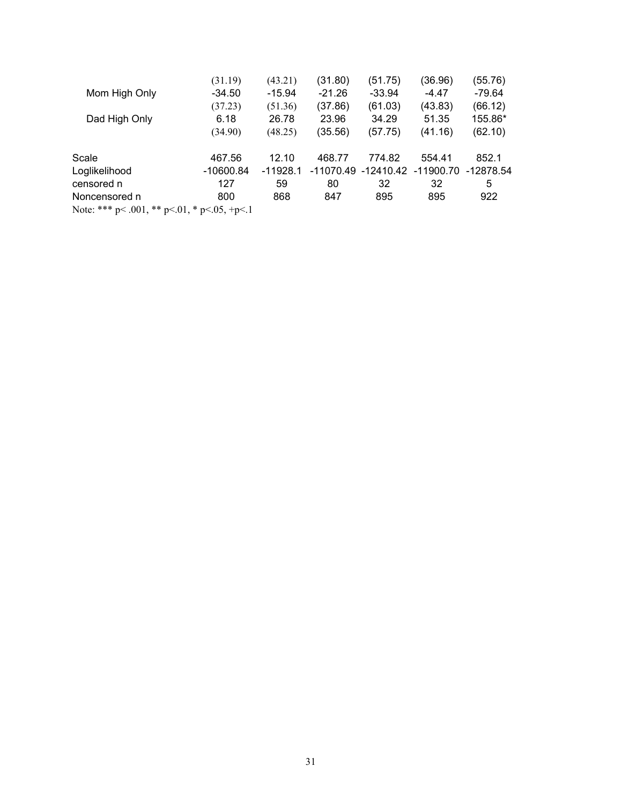|                                                             | (31.19)     | (43.21)  | (31.80)   | (51.75)   | (36.96)   | (55.76)   |
|-------------------------------------------------------------|-------------|----------|-----------|-----------|-----------|-----------|
| Mom High Only                                               | $-34.50$    | $-15.94$ | $-21.26$  | $-33.94$  | -4.47     | -79.64    |
|                                                             | (37.23)     | (51.36)  | (37.86)   | (61.03)   | (43.83)   | (66.12)   |
| Dad High Only                                               | 6.18        | 26.78    | 23.96     | 34.29     | 51.35     | 155.86*   |
|                                                             | (34.90)     | (48.25)  | (35.56)   | (57.75)   | (41.16)   | (62.10)   |
| Scale                                                       | 467.56      | 12.10    | 468.77    | 774.82    | 554.41    | 852.1     |
| Loglikelihood                                               | $-10600.84$ | -11928.1 | -11070.49 | -12410.42 | -11900.70 | -12878.54 |
| censored n                                                  | 127         | 59       | 80        | 32        | 32        | 5         |
| Noncensored n                                               | 800         | 868      | 847       | 895       | 895       | 922       |
| Note: *** $p$ < .001, ** $p$ < .01, * $p$ < .05, + $p$ < .1 |             |          |           |           |           |           |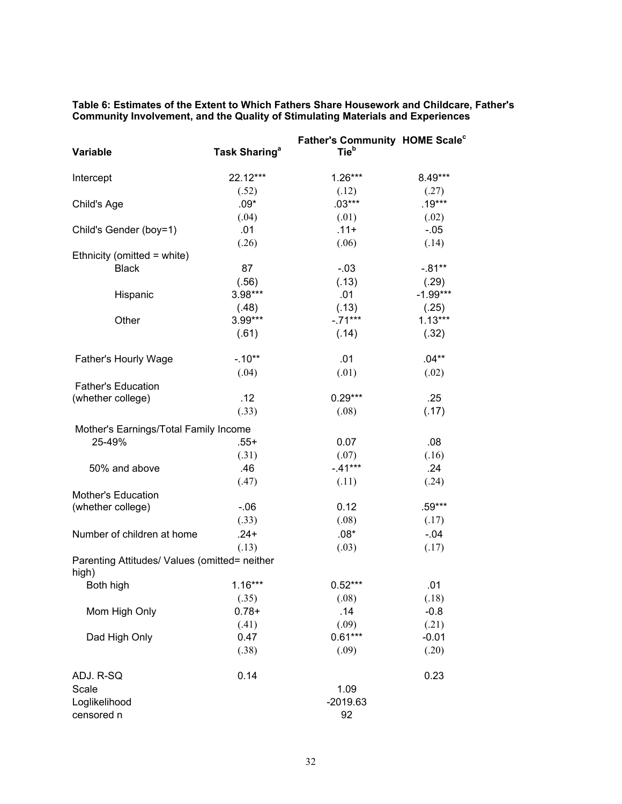| Variable                                       | Task Sharing <sup>a</sup> | Father's Community HOME Scale <sup>c</sup><br>Tie <sup>b</sup> |            |
|------------------------------------------------|---------------------------|----------------------------------------------------------------|------------|
| Intercept                                      | 22.12***                  | $1.26***$                                                      | 8.49***    |
|                                                | (.52)                     | (.12)                                                          | (.27)      |
| Child's Age                                    | $.09*$                    | $.03***$                                                       | $.19***$   |
|                                                | (.04)                     | (.01)                                                          | (.02)      |
| Child's Gender (boy=1)                         | .01                       | $.11 +$                                                        | $-.05$     |
|                                                | (.26)                     | (.06)                                                          | (.14)      |
| Ethnicity (omitted = white)                    |                           |                                                                |            |
| <b>Black</b>                                   | 87                        | $-.03$                                                         | $-.81**$   |
|                                                | (.56)                     | (.13)                                                          | (.29)      |
| Hispanic                                       | $3.98***$                 | .01                                                            | $-1.99***$ |
|                                                | (.48)                     | (.13)                                                          | (.25)      |
| Other                                          | 3.99***                   | $-.71***$                                                      | $1.13***$  |
|                                                | (.61)                     | (.14)                                                          | (.32)      |
| Father's Hourly Wage                           | $-.10**$                  | .01                                                            | $.04**$    |
|                                                | (.04)                     | (.01)                                                          | (.02)      |
| <b>Father's Education</b>                      |                           |                                                                |            |
| (whether college)                              | .12                       | $0.29***$                                                      | .25        |
|                                                | (.33)                     | (.08)                                                          | (.17)      |
| Mother's Earnings/Total Family Income          |                           |                                                                |            |
| 25-49%                                         | $.55+$                    | 0.07                                                           | .08        |
|                                                | (.31)                     | (.07)                                                          | (.16)      |
| 50% and above                                  | .46                       | $-41***$                                                       | .24        |
|                                                | (.47)                     | (.11)                                                          | (.24)      |
|                                                |                           |                                                                |            |
| <b>Mother's Education</b><br>(whether college) | $-06$                     | 0.12                                                           | .59***     |
|                                                | (.33)                     | (.08)                                                          | (.17)      |
|                                                |                           |                                                                |            |
| Number of children at home                     | $.24+$                    | $.08*$                                                         | $-04$      |
| Parenting Attitudes/ Values (omitted= neither  | (.13)                     | (.03)                                                          | (.17)      |
| high)                                          |                           |                                                                |            |
| Both high                                      | $1.16***$                 | $0.52***$                                                      | .01        |
|                                                | (.35)                     | (.08)                                                          | (.18)      |
| Mom High Only                                  | $0.78 +$                  | .14                                                            | $-0.8$     |
|                                                | (.41)                     | (.09)                                                          | (.21)      |
| Dad High Only                                  | 0.47                      | $0.61***$                                                      | $-0.01$    |
|                                                | (.38)                     | (.09)                                                          | (.20)      |
| ADJ. R-SQ                                      | 0.14                      |                                                                | 0.23       |
| Scale                                          |                           | 1.09                                                           |            |
| Loglikelihood                                  |                           | $-2019.63$                                                     |            |
| censored n                                     |                           | 92                                                             |            |

**Table 6: Estimates of the Extent to Which Fathers Share Housework and Childcare, Father's Community Involvement, and the Quality of Stimulating Materials and Experiences**